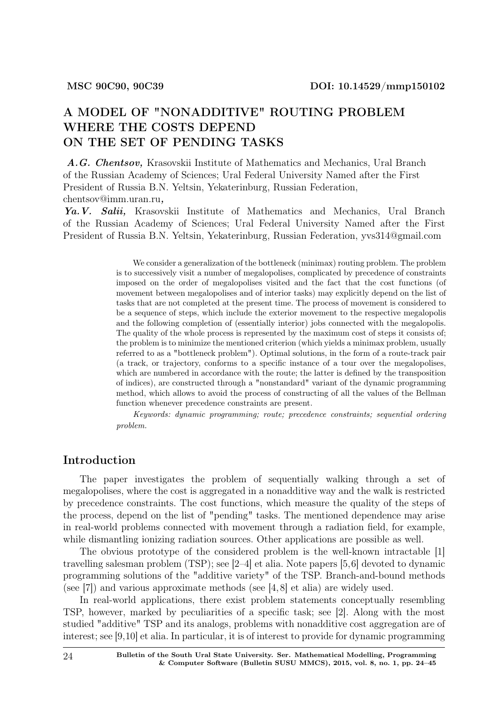# A MODEL OF "NONADDITIVE" ROUTING PROBLEM WHERE THE COSTS DEPEND ON THE SET OF PENDING TASKS

A.G. Chentsov, Krasovskii Institute of Mathematics and Mechanics, Ural Branch of the Russian Academy of Sciences; Ural Federal University Named after the First President of Russia B.N. Yeltsin, Yekaterinburg, Russian Federation, chentsov@imm.uran.ru,

Ya.V. Salii, Krasovskii Institute of Mathematics and Mechanics, Ural Branch of the Russian Academy of Sciences; Ural Federal University Named after the First President of Russia B.N. Yeltsin, Yekaterinburg, Russian Federation, yvs314@gmail.com

> We consider a generalization of the bottleneck (minimax) routing problem. The problem is to successively visit a number of megalopolises, complicated by precedence of constraints imposed on the order of megalopolises visited and the fact that the cost functions (of movement between megalopolises and of interior tasks) may explicitly depend on the list of tasks that are not completed at the present time. The process of movement is considered to be a sequence of steps, which include the exterior movement to the respective megalopolis and the following completion of (essentially interior) jobs connected with the megalopolis. The quality of the whole process is represented by the maximum cost of steps it consists of; the problem is to minimize the mentioned criterion (which yields a minimax problem, usually referred to as a "bottleneck problem"). Optimal solutions, in the form of a route-track pair (a track, or trajectory, conforms to a specific instance of a tour over the megalopolises, which are numbered in accordance with the route; the latter is defined by the transposition of indices), are constructed through a "nonstandard" variant of the dynamic programming method, which allows to avoid the process of constructing of all the values of the Bellman function whenever precedence constraints are present.

> Keywords: dynamic programming; route; precedence constraints; sequential ordering problem.

## Introduction

The paper investigates the problem of sequentially walking through a set of megalopolises, where the cost is aggregated in a nonadditive way and the walk is restricted by precedence constraints. The cost functions, which measure the quality of the steps of the process, depend on the list of "pending" tasks. The mentioned dependence may arise in real-world problems connected with movement through a radiation field, for example, while dismantling ionizing radiation sources. Other applications are possible as well.

The obvious prototype of the considered problem is the well-known intractable [1] travelling salesman problem (TSP); see [2–4] et alia. Note papers [5,6] devoted to dynamic programming solutions of the "additive variety" of the TSP. Branch-and-bound methods (see  $|7|$ ) and various approximate methods (see  $|4, 8|$  et alia) are widely used.

In real-world applications, there exist problem statements conceptually resembling TSP, however, marked by peculiarities of a specific task; see [2]. Along with the most studied "additive" TSP and its analogs, problems with nonadditive cost aggregation are of interest; see [9,10] et alia. In particular, it is of interest to provide for dynamic programming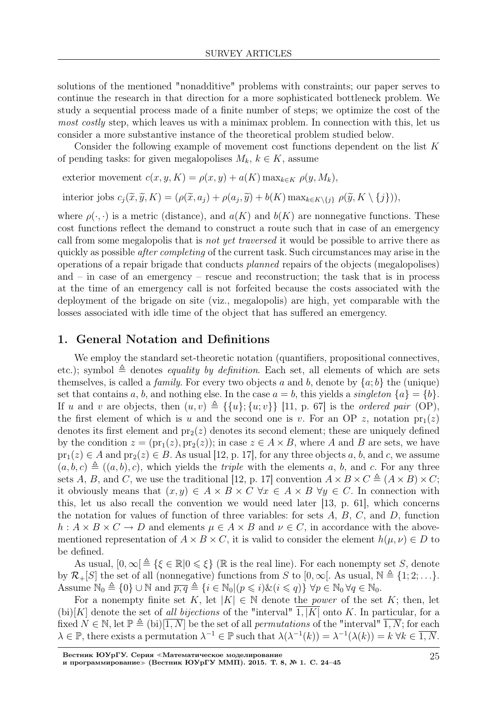solutions of the mentioned "nonadditive" problems with constraints; our paper serves to continue the research in that direction for a more sophisticated bottleneck problem. We study a sequential process made of a finite number of steps; we optimize the cost of the most costly step, which leaves us with a minimax problem. In connection with this, let us consider a more substantive instance of the theoretical problem studied below.

Consider the following example of movement cost functions dependent on the list  $K$ of pending tasks: for given megalopolises  $M_k, k \in K$ , assume

exterior movement  $c(x, y, K) = \rho(x, y) + a(K) \max_{k \in K} \rho(y, M_k)$ ,

interior jobs  $c_j(\tilde{x}, \tilde{y}, K) = (\rho(\tilde{x}, a_j) + \rho(a_j, \tilde{y}) + b(K) \max_{k \in K \setminus \{j\}} \rho(\tilde{y}, K \setminus \{j\})),$ 

where  $\rho(\cdot,\cdot)$  is a metric (distance), and  $a(K)$  and  $b(K)$  are nonnegative functions. These cost functions reflect the demand to construct a route such that in case of an emergency call from some megalopolis that is not yet traversed it would be possible to arrive there as quickly as possible *after completing* of the current task. Such circumstances may arise in the operations of a repair brigade that conducts planned repairs of the objects (megalopolises) and – in case of an emergency – rescue and reconstruction; the task that is in process at the time of an emergency call is not forfeited because the costs associated with the deployment of the brigade on site (viz., megalopolis) are high, yet comparable with the losses associated with idle time of the object that has suffered an emergency.

## 1. General Notation and Definitions

We employ the standard set-theoretic notation (quantifiers, propositional connectives, etc.); symbol  $\triangleq$  denotes *equality by definition*. Each set, all elements of which are sets themselves, is called a *family*. For every two objects a and b, denote by  $\{a, b\}$  the (unique) set that contains a, b, and nothing else. In the case  $a = b$ , this yields a singleton  $\{a\} = \{b\}$ . If u and v are objects, then  $(u, v) \triangleq {\{u\}}; {u; v\}}$  [11, p. 67] is the *ordered pair* (OP), the first element of which is u and the second one is v. For an OP z, notation  $pr_1(z)$ denotes its first element and  $pr_2(z)$  denotes its second element; these are uniquely defined by the condition  $z = (pr_1(z), pr_2(z))$ ; in case  $z \in A \times B$ , where A and B are sets, we have  $pr_1(z) \in A$  and  $pr_2(z) \in B$ . As usual [12, p. 17], for any three objects a, b, and c, we assume  $(a, b, c) \triangleq ((a, b), c)$ , which yields the *triple* with the elements a, b, and c. For any three sets A, B, and C, we use the traditional [12, p. 17] convention  $A \times B \times C \triangleq (A \times B) \times C$ ; it obviously means that  $(x, y) \in A \times B \times C \forall x \in A \times B \forall y \in C$ . In connection with this, let us also recall the convention we would need later [13, p. 61], which concerns the notation for values of function of three variables: for sets  $A, B, C$ , and  $D$ , function  $h: A \times B \times C \to D$  and elements  $\mu \in A \times B$  and  $\nu \in C$ , in accordance with the abovementioned representation of  $A \times B \times C$ , it is valid to consider the element  $h(\mu, \nu) \in D$  to be defined.

As usual,  $[0,\infty]^{\Delta} \leq {\epsilon} \in \mathbb{R} \mid 0 \leq {\epsilon}$  ( $\mathbb{R}$  is the real line). For each nonempty set S, denote by  $\mathcal{R}_+[S]$  the set of all (nonnegative) functions from S to  $[0,\infty[$ . As usual,  $\mathbb{N} \triangleq \{1; 2; \ldots\}$ . Assume  $\mathbb{N}_0 \triangleq \{0\} \cup \mathbb{N}$  and  $\overline{p,q} \triangleq \{i \in \mathbb{N}_0 | (p \leq i) \& (i \leq q)\}\ \forall p \in \mathbb{N}_0 \forall q \in \mathbb{N}_0$ .

For a nonempty finite set K, let  $|K| \in \mathbb{N}$  denote the *power* of the set K; then, let  $(bi)[K]$  denote the set of all bijections of the "interval"  $\overline{1, |K|}$  onto K. In particular, for a fixed  $N \in \mathbb{N}$ , let  $\mathbb{P} \triangleq (bi)$ ,  $\overline{1,N}$  be the set of all *permutations* of the "interval"  $\overline{1,N}$ ; for each  $\lambda \in \mathbb{P}$ , there exists a permutation  $\lambda^{-1} \in \mathbb{P}$  such that  $\lambda(\lambda^{-1}(k)) = \lambda^{-1}(\lambda(k)) = k \,\forall k \in \overline{1, N}$ .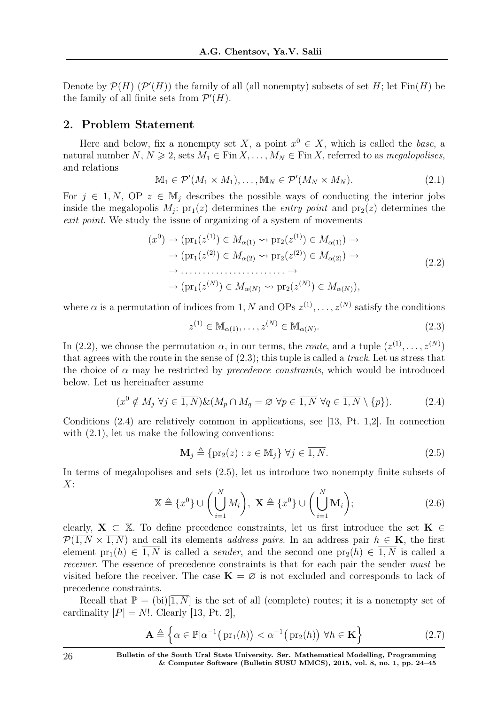Denote by  $\mathcal{P}(H)$  ( $\mathcal{P}'(H)$ ) the family of all (all nonempty) subsets of set H; let Fin(H) be the family of all finite sets from  $\mathcal{P}'(H)$ .

## 2. Problem Statement

Here and below, fix a nonempty set X, a point  $x^0 \in X$ , which is called the base, a natural number  $N, N \geq 2$ , sets  $M_1 \in \text{Fin } X, \ldots, M_N \in \text{Fin } X$ , referred to as *megalopolises*, and relations

$$
\mathbb{M}_1 \in \mathcal{P}'(M_1 \times M_1), \dots, \mathbb{M}_N \in \mathcal{P}'(M_N \times M_N). \tag{2.1}
$$

For  $j \in \overline{1, N}$ , OP  $z \in M_j$  describes the possible ways of conducting the interior jobs inside the megalopolis  $M_j$ :  $\text{pr}_1(z)$  determines the *entry point* and  $\text{pr}_2(z)$  determines the exit point. We study the issue of organizing of a system of movements

(x 0 ) → (pr1(z (1)) ∈ M<sup>α</sup>(1) pr2(z (1)) ∈ M<sup>α</sup>(1)) → → (pr1(z (2)) ∈ M<sup>α</sup>(2) pr2(z (2)) ∈ M<sup>α</sup>(2)) → → . . . . . . . . . . . . . . . . . . . . . . . . → → (pr1(z (N) ) ∈ M<sup>α</sup>(N) pr2(z (N) ) ∈ M<sup>α</sup>(N)), (2.2)

where  $\alpha$  is a permutation of indices from  $\overline{1,N}$  and OPs  $z^{(1)}, \ldots, z^{(N)}$  satisfy the conditions

$$
z^{(1)} \in \mathbb{M}_{\alpha(1)}, \dots, z^{(N)} \in \mathbb{M}_{\alpha(N)}.
$$
\n
$$
(2.3)
$$

In (2.2), we choose the permutation  $\alpha$ , in our terms, the *route*, and a tuple  $(z^{(1)},...,z^{(N)})$ that agrees with the route in the sense of (2.3); this tuple is called a track. Let us stress that the choice of  $\alpha$  may be restricted by *precedence constraints*, which would be introduced below. Let us hereinafter assume

$$
(x^0 \notin M_j \,\,\forall j \in \overline{1,N}) \& (M_p \cap M_q = \varnothing \,\,\forall p \in \overline{1,N} \,\,\forall q \in \overline{1,N} \,\,\backslash \,\, \{p\}).\tag{2.4}
$$

Conditions (2.4) are relatively common in applications, see [13, Pt. 1,2]. In connection with  $(2.1)$ , let us make the following conventions:

$$
\mathbf{M}_{j} \triangleq \{ \text{pr}_{2}(z) : z \in \mathbb{M}_{j} \} \ \forall j \in \overline{1, N}.
$$
\n(2.5)

In terms of megalopolises and sets (2.5), let us introduce two nonempty finite subsets of  $X$ :

$$
\mathbb{X} \triangleq \{x^0\} \cup \left(\bigcup_{i=1}^N M_i\right), \ \mathbf{X} \triangleq \{x^0\} \cup \left(\bigcup_{i=1}^N \mathbf{M}_i\right); \tag{2.6}
$$

clearly,  $X \subset X$ . To define precedence constraints, let us first introduce the set  $K \in$  $\mathcal{P}(\overline{1,N}\times\overline{1,N})$  and call its elements *address pairs*. In an address pair  $h \in \mathbf{K}$ , the first element  $pr_1(h) \in \overline{1,N}$  is called a *sender*, and the second one  $pr_2(h) \in \overline{1,N}$  is called a receiver. The essence of precedence constraints is that for each pair the sender must be visited before the receiver. The case  $\mathbf{K} = \varnothing$  is not excluded and corresponds to lack of precedence constraints.

Recall that  $\mathbb{P} = (bi)[1,N]$  is the set of all (complete) routes; it is a nonempty set of cardinality  $|P| = N!$ . Clearly [13, Pt. 2],

$$
\mathbf{A} \triangleq \left\{ \alpha \in \mathbb{P} | \alpha^{-1} \big( \operatorname{pr}_1(h) \big) < \alpha^{-1} \big( \operatorname{pr}_2(h) \big) \, \forall h \in \mathbf{K} \right\} \tag{2.7}
$$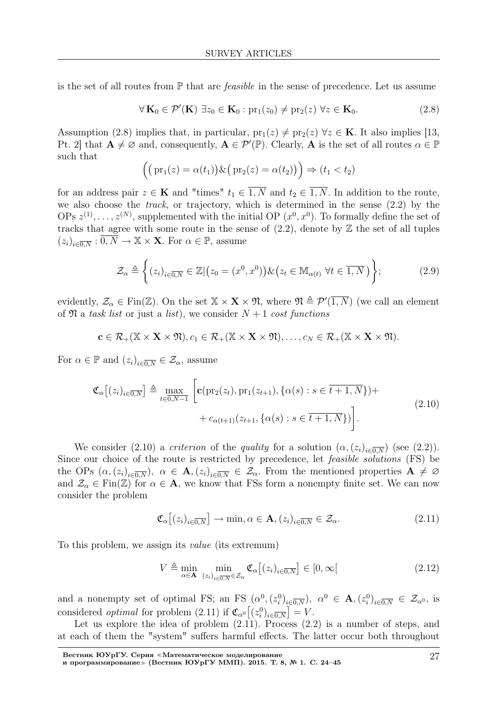is the set of all routes from  $\mathbb P$  that are *feasible* in the sense of precedence. Let us assume

$$
\forall \mathbf{K}_0 \in \mathcal{P}'(\mathbf{K}) \exists z_0 \in \mathbf{K}_0 : pr_1(z_0) \neq pr_2(z) \,\forall z \in \mathbf{K}_0. \tag{2.8}
$$

Assumption (2.8) implies that, in particular,  $pr_1(z) \neq pr_2(z)$   $\forall z \in K$ . It also implies [13, Pt. 2 that  $\mathbf{A} \neq \emptyset$  and, consequently,  $\mathbf{A} \in \mathcal{P}'(\mathbb{P})$ . Clearly,  $\mathbf{A}$  is the set of all routes  $\alpha \in \mathbb{P}$ such that

$$
((pr1(z) = \alpha(t1)) \& (pr2(z) = \alpha(t2)) \Rightarrow (t1 < t2)
$$

for an address pair  $z \in \mathbf{K}$  and "times"  $t_1 \in \overline{1, N}$  and  $t_2 \in \overline{1, N}$ . In addition to the route, we also choose the track, or trajectory, which is determined in the sense (2.2) by the OPs  $z^{(1)}, \ldots, z^{(N)}$ , supplemented with the initial OP  $(x^0, x^0)$ . To formally define the set of tracks that agree with some route in the sense of  $(2.2)$ , denote by  $\mathbb Z$  the set of all tuples  $(z_i)_{i\in\overline{0,N}}:\overline{0,N}\to\mathbb{X}\times\mathbf{X}$ . For  $\alpha\in\mathbb{P}$ , assume

$$
\mathcal{Z}_{\alpha} \triangleq \left\{ (z_i)_{i \in \overline{0,N}} \in \mathbb{Z} \middle| \left( z_0 = (x^0, x^0) \right) \& \left( z_t \in \mathbb{M}_{\alpha(t)} \ \forall t \in \overline{1,N} \right) \right\};\tag{2.9}
$$

evidently,  $\mathcal{Z}_{\alpha} \in \text{Fin}(\mathbb{Z})$ . On the set  $\mathbb{X} \times \mathbf{X} \times \mathfrak{N}$ , where  $\mathfrak{N} \triangleq \mathcal{P}'(\overline{1,N})$  (we call an element of  $\Re$  a task list or just a list), we consider  $N+1$  cost functions

$$
\mathbf{c} \in \mathcal{R}_+(\mathbb{X} \times \mathbf{X} \times \mathfrak{N}), c_1 \in \mathcal{R}_+(\mathbb{X} \times \mathbf{X} \times \mathfrak{N}), \ldots, c_N \in \mathcal{R}_+(\mathbb{X} \times \mathbf{X} \times \mathfrak{N}).
$$

For  $\alpha \in \mathbb{P}$  and  $(z_i)_{i \in \overline{0,N}} \in \mathcal{Z}_{\alpha}$ , assume

$$
\mathfrak{C}_{\alpha}\left[ (z_{i})_{i\in\overline{0,N}} \right] \triangleq \max_{t\in\overline{0,N-1}} \left[ \mathbf{c}(\text{pr}_2(z_t), \text{pr}_1(z_{t+1}), \{ \alpha(s) : s \in \overline{t+1, N} \}) + \\ + c_{\alpha(t+1)}(z_{t+1}, \{ \alpha(s) : s \in \overline{t+1, N} \}) \right].
$$
\n(2.10)

We consider (2.10) a *criterion* of the *quality* for a solution  $(\alpha, (z_i)_{i\in\overline{0,N}})$  (see (2.2)). Since our choice of the route is restricted by precedence, let feasible solutions (FS) be the OPs  $(\alpha,(z_i)_{i\in\overline{0,N}}), \alpha \in \mathbf{A}, (z_i)_{i\in\overline{0,N}} \in \mathcal{Z}_\alpha$ . From the mentioned properties  $\mathbf{A} \neq \emptyset$ and  $\mathcal{Z}_{\alpha} \in \text{Fin}(\mathbb{Z})$  for  $\alpha \in \mathbf{A}$ , we know that FSs form a nonempty finite set. We can now consider the problem

$$
\mathfrak{C}_{\alpha}\big[(z_i)_{i\in\overline{0,N}}\big] \to \min, \alpha \in \mathbf{A}, (z_i)_{i\in\overline{0,N}} \in \mathcal{Z}_{\alpha}.\tag{2.11}
$$

To this problem, we assign its value (its extremum)

$$
V \triangleq \min_{\alpha \in \mathbf{A}} \min_{(z_i)_{i \in \overline{0, N}} \in \mathcal{Z}_{\alpha}} \mathfrak{C}_{\alpha} \left[ (z_i)_{i \in \overline{0, N}} \right] \in [0, \infty[ \tag{2.12}
$$

and a nonempty set of optimal FS; an FS  $(\alpha^0, (z_i^0)_{i \in \overline{0,N}})$ ,  $\alpha^0 \in \mathbf{A}, (z_i^0)_{i \in \overline{0,N}} \in \mathcal{Z}_{\alpha^0}$ , is considered *optimal* for problem  $(2.11)$  if  $\mathfrak{C}_{\alpha^0}[(z_i^0)_{i\in\overline{0,N}}] = V$ .

Let us explore the idea of problem  $(2.11)$ . Process  $(2.2)$  is a number of steps, and at each of them the "system" suffers harmful effects. The latter occur both throughout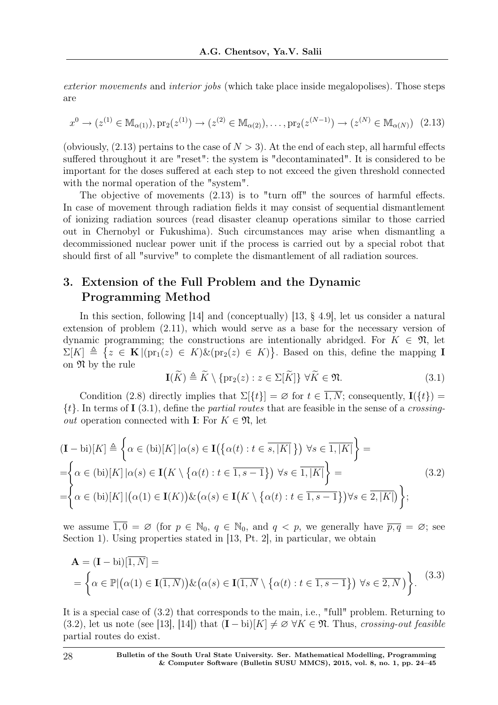exterior movements and interior jobs (which take place inside megalopolises). Those steps are

$$
x^{0} \to (z^{(1)} \in M_{\alpha(1)}), \text{pr}_{2}(z^{(1)}) \to (z^{(2)} \in M_{\alpha(2)}), \dots, \text{pr}_{2}(z^{(N-1)}) \to (z^{(N)} \in M_{\alpha(N)}) \quad (2.13)
$$

(obviously,  $(2.13)$  pertains to the case of  $N > 3$ ). At the end of each step, all harmful effects suffered throughout it are "reset": the system is "decontaminated". It is considered to be important for the doses suffered at each step to not exceed the given threshold connected with the normal operation of the "system".

The objective of movements (2.13) is to "turn off" the sources of harmful effects. In case of movement through radiation fields it may consist of sequential dismantlement of ionizing radiation sources (read disaster cleanup operations similar to those carried out in Chernobyl or Fukushima). Such circumstances may arise when dismantling a decommissioned nuclear power unit if the process is carried out by a special robot that should first of all "survive" to complete the dismantlement of all radiation sources.

# 3. Extension of the Full Problem and the Dynamic Programming Method

In this section, following [14] and (conceptually) [13, § 4.9], let us consider a natural extension of problem (2.11), which would serve as a base for the necessary version of dynamic programming; the constructions are intentionally abridged. For  $K \in \mathfrak{N}$ , let  $\Sigma[K] \triangleq \{ z \in \mathbf{K} | (pr_1(z) \in K) \& (pr_2(z) \in K) \}.$  Based on this, define the mapping **I** on  $\mathfrak N$  by the rule

$$
\mathbf{I}(\widetilde{K}) \triangleq \widetilde{K} \setminus \{ \mathrm{pr}_2(z) : z \in \Sigma[\widetilde{K}] \} \ \forall \widetilde{K} \in \mathfrak{N}.
$$

Condition (2.8) directly implies that  $\Sigma[\{t\}] = \emptyset$  for  $t \in \overline{1, N}$ ; consequently,  $I(\{t\}) =$  $\{t\}$ . In terms of **I** (3.1), define the *partial routes* that are feasible in the sense of a *crossingout* operation connected with **I**: For  $K \in \mathfrak{N}$ , let

$$
(\mathbf{I} - bi)[K] \triangleq \left\{ \alpha \in (bi)[K] \mid \alpha(s) \in \mathbf{I}(\{\alpha(t) : t \in \overline{s}, |K|\}) \forall s \in \overline{1, |K|} \right\} =
$$
  
=
$$
\left\{ \alpha \in (bi)[K] \mid \alpha(s) \in \mathbf{I}(K \setminus \{\alpha(t) : t \in \overline{1, s-1}\}) \forall s \in \overline{1, |K|} \right\} =
$$
  
=
$$
\left\{ \alpha \in (bi)[K] \mid (\alpha(1) \in \mathbf{I}(K)) \& (\alpha(s) \in \mathbf{I}(K \setminus \{\alpha(t) : t \in \overline{1, s-1}\}) \forall s \in \overline{2, |K|} \right\};
$$
(3.2)

we assume  $\overline{1,0} = \emptyset$  (for  $p \in \mathbb{N}_0$ ,  $q \in \mathbb{N}_0$ , and  $q < p$ , we generally have  $\overline{p,q} = \emptyset$ ; see Section 1). Using properties stated in [13, Pt. 2], in particular, we obtain

$$
\mathbf{A} = (\mathbf{I} - bi)[\overline{1,N}] =
$$
  
=  $\left\{\alpha \in \mathbb{P} | (\alpha(1) \in \mathbf{I}(\overline{1,N})) \& (\alpha(s) \in \mathbf{I}(\overline{1,N} \setminus {\alpha(t) : t \in \overline{1,s-1}})) \forall s \in \overline{2,N})\right\}.$  (3.3)

It is a special case of (3.2) that corresponds to the main, i.e., "full" problem. Returning to (3.2), let us note (see [13], [14]) that  $(I - bi)[K] \neq \emptyset \ \forall K \in \mathfrak{N}$ . Thus, crossing-out feasible partial routes do exist.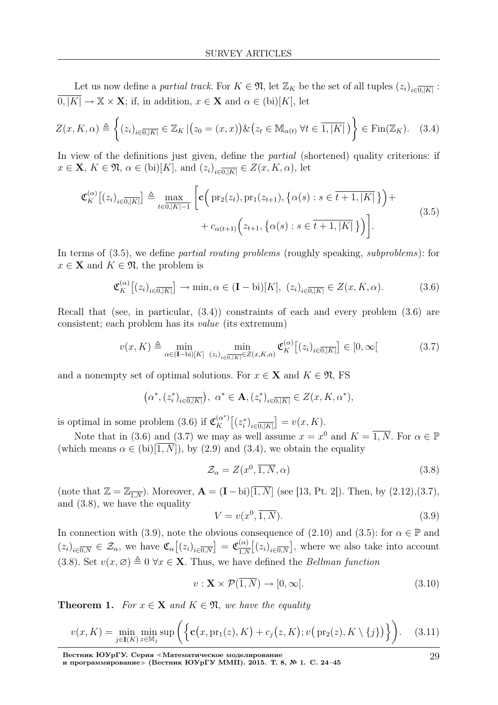Let us now define a *partial track*. For  $K \in \mathfrak{N}$ , let  $\mathbb{Z}_K$  be the set of all tuples  $(z_i)_{i \in \overline{0,|K|}}$ :  $\overline{0, |K|} \to \mathbb{X} \times \mathbf{X}$ ; if, in addition,  $x \in \mathbf{X}$  and  $\alpha \in (bi) [K]$ , let

$$
Z(x, K, \alpha) \triangleq \left\{ (z_i)_{i \in \overline{0, |K|}} \in \mathbb{Z}_K \, | \, (z_0 = (x, x)) \& \, (z_t \in \mathbb{M}_{\alpha(t)} \, \forall t \in \overline{1, |K|}) \right\} \in \text{Fin}(\mathbb{Z}_K). \tag{3.4}
$$

In view of the definitions just given, define the *partial* (shortened) quality criterions: if  $x \in \mathbf{X}, K \in \mathfrak{N}, \alpha \in (\text{bi})[K], \text{ and } (z_i)_{i \in \overline{0,|K|}} \in Z(x, K, \alpha)$ , let

$$
\mathfrak{C}_{K}^{(\alpha)}\big[(z_{i})_{i\in\overline{0,|K|}}\big] \triangleq \max_{t\in\overline{0,|K|-1}}\bigg[\mathbf{c}\Big(\operatorname{pr}_{2}(z_{t}),\operatorname{pr}_{1}(z_{t+1}),\big\{\alpha(s):s\in\overline{t+1,|K|}\big\}\Big)++\,c_{\alpha(t+1)}\Big(z_{t+1},\big\{\alpha(s):s\in\overline{t+1,|K|}\big\}\Big)\bigg].
$$
\n(3.5)

In terms of (3.5), we define partial routing problems (roughly speaking, subproblems): for  $x \in \mathbf{X}$  and  $K \in \mathfrak{N}$ , the problem is

$$
\mathfrak{C}_{K}^{(\alpha)}\big[(z_{i})_{i\in\overline{0,|K|}}\big]\to\min,\alpha\in(\mathbf{I}-\mathrm{bi})[K],\ (z_{i})_{i\in\overline{0,|K|}}\in Z(x,K,\alpha). \tag{3.6}
$$

Recall that (see, in particular, (3.4)) constraints of each and every problem (3.6) are consistent; each problem has its value (its extremum)

$$
v(x, K) \triangleq \min_{\alpha \in (\mathbf{I} - \text{bi})[K] \ (z_i)_{i \in \overline{0, |K|}} \in Z(x, K, \alpha)} \mathfrak{C}_K^{(\alpha)} \big[ (z_i)_{i \in \overline{0, |K|}} \big] \in [0, \infty[
$$
 (3.7)

and a nonempty set of optimal solutions. For  $x \in \mathbf{X}$  and  $K \in \mathfrak{N}$ , FS

$$
\left(\alpha^*, (z_i^*)_{i \in \overline{0,|K|}}\right), \ \alpha^* \in \mathbf{A}, (z_i^*)_{i \in \overline{0,|K|}} \in Z(x, K, \alpha^*),
$$

is optimal in some problem (3.6) if  $\mathfrak{C}_{K}^{(\alpha^*)}$  $\binom{\alpha^*}{K} \left[ \left( z_i^* \right)_{i \in \overline{0, |K|}} \right] = v(x, K).$ 

Note that in (3.6) and (3.7) we may as well assume  $x = x^0$  and  $K = \overline{1, N}$ . For  $\alpha \in \mathbb{P}$ (which means  $\alpha \in (bi)[\overline{1,N}])$ , by (2.9) and (3.4), we obtain the equality

$$
\mathcal{Z}_{\alpha} = Z(x^0, \overline{1, N}, \alpha) \tag{3.8}
$$

(note that  $\mathbb{Z} = \mathbb{Z}_{\overline{1,N}}$ ). Moreover,  $\mathbf{A} = (\mathbf{I} - bi)[\overline{1,N}]$  (see [13, Pt. 2]). Then, by (2.12),(3.7), and (3.8), we have the equality

$$
V = v(x^0, \overline{1, N}).\tag{3.9}
$$

In connection with (3.9), note the obvious consequence of (2.10) and (3.5): for  $\alpha \in \mathbb{P}$  and  $(z_i)_{i \in \overline{0,N}} \in \mathcal{Z}_\alpha$ , we have  $\mathfrak{C}_\alpha \big[ (z_i)_{i \in \overline{0,N}} \big] = \mathfrak{C}_{\overline{1,N}}^{(\alpha)}$  $\frac{(\alpha)}{1,N}[(z_i)_{i\in\overline{0,N}}]$ , where we also take into account (3.8). Set  $v(x, \emptyset) \triangleq 0 \ \forall x \in \mathbf{X}$ . Thus, we have defined the *Bellman function* 

$$
v: \mathbf{X} \times \mathcal{P}(\overline{1,N}) \to [0, \infty[.
$$
 (3.10)

**Theorem 1.** For  $x \in \mathbf{X}$  and  $K \in \mathfrak{N}$ , we have the equality

$$
v(x,K) = \min_{j \in \mathbf{I}(K)} \min_{z \in \mathbb{M}_j} \sup \left( \left\{ \mathbf{c}(x, \text{pr}_1(z), K) + c_j(z, K); v(\text{pr}_2(z), K \setminus \{j\}) \right\} \right). \tag{3.11}
$$

Вестник ЮУрГУ. Серия <sup>≪</sup>Математическое моделирование и программирование» (Вестник ЮУрГУ ММП). 2015. Т. 8, № 1. С. 24-45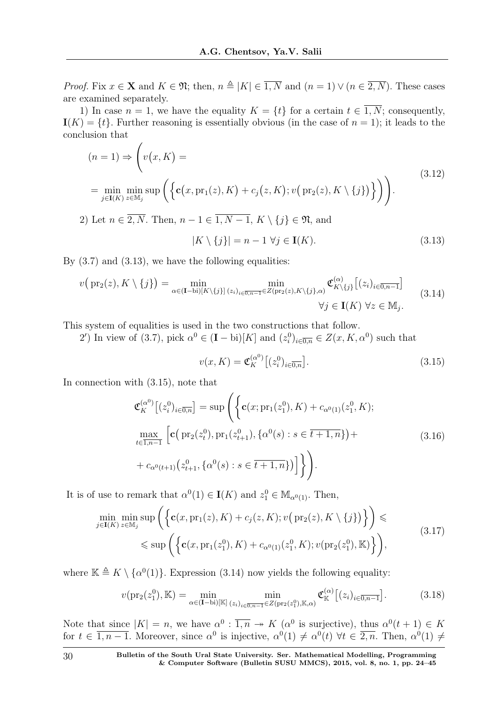*Proof.* Fix  $x \in \mathbf{X}$  and  $K \in \mathfrak{N}$ ; then,  $n \triangleq |K| \in \overline{1, N}$  and  $(n = 1) \vee (n \in \overline{2, N})$ . These cases are examined separately.

1) In case  $n = 1$ , we have the equality  $K = \{t\}$  for a certain  $t \in \overline{1, N}$ ; consequently,  $I(K) = \{t\}$ . Further reasoning is essentially obvious (in the case of  $n = 1$ ); it leads to the conclusion that

$$
(n = 1) \Rightarrow \left( v(x, K) =
$$
  
\n
$$
= \min_{j \in \mathbf{I}(K)} \min_{z \in \mathbb{M}_j} \sup \left( \left\{ \mathbf{c}(x, \text{pr}_1(z), K) + c_j(z, K); v(\text{pr}_2(z), K \setminus \{j\}) \right\} \right) \right).
$$
\n(3.12)  
\n2) Let  $n \in \overline{2, N}$ . Then,  $n - 1 \in \overline{1, N - 1}, K \setminus \{j\} \in \mathfrak{N}$ , and  
\n
$$
|K \setminus \{j\}| = n - 1 \ \forall j \in \mathbf{I}(K).
$$

By  $(3.7)$  and  $(3.13)$ , we have the following equalities:

$$
v\left(\operatorname{pr}_2(z), K\setminus\{j\}\right) = \min_{\alpha \in (\mathbf{I}-\operatorname{bi})[K\setminus\{j\}]} \min_{(z_i)_{i \in \overline{0,n-1}} \in Z(\operatorname{pr}_2(z), K\setminus\{j\}, \alpha)} \mathfrak{C}_{K\setminus\{j\}}^{(\alpha)} \left[ (z_i)_{i \in \overline{0,n-1}} \right] \tag{3.14}
$$

$$
\forall j \in \mathbf{I}(K) \forall z \in \mathbb{M}_j.
$$

This system of equalities is used in the two constructions that follow.

2') In view of (3.7), pick  $\alpha^0 \in (\mathbf{I} - bi)[K]$  and  $(z_i^0)_{i \in \overline{0,n}} \in Z(x, K, \alpha^0)$  such that

$$
v(x, K) = \mathfrak{C}_K^{(\alpha^0)} \big[ (z_i^0)_{i \in \overline{0,n}} \big]. \tag{3.15}
$$

In connection with (3.15), note that

$$
\mathfrak{C}_{K}^{(\alpha^{0})}[(z_{i}^{0})_{i\in\overline{0,n}}] = \sup\left(\left\{\mathbf{c}(x;\mathrm{pr}_{1}(z_{1}^{0}),K) + c_{\alpha^{0}(1)}(z_{1}^{0},K); \atop \max_{t\in\overline{1,n-1}}\left[\mathbf{c}(\mathrm{pr}_{2}(z_{t}^{0}),\mathrm{pr}_{1}(z_{t+1}^{0}),\{\alpha^{0}(s):s\in\overline{t+1,n}\})+\right. \right. \tag{3.16}
$$
\n
$$
+ c_{\alpha^{0}(t+1)}(z_{t+1}^{0},\{\alpha^{0}(s):s\in\overline{t+1,n}\})\right\}.
$$

It is of use to remark that  $\alpha^0(1) \in I(K)$  and  $z_1^0 \in M_{\alpha^0(1)}$ . Then,

$$
\min_{j\in\mathbf{I}(K)}\min_{z\in\mathbb{M}_j}\sup\left(\left\{\mathbf{c}(x,\text{pr}_1(z),K)+c_j(z,K);v(\text{pr}_2(z),K\setminus\{j\})\right\}\right)\leq \left(\sup\left\{\mathbf{c}(x,\text{pr}_1(z_1^0),K)+c_{\alpha^0(1)}(z_1^0,K);v(\text{pr}_2(z_1^0),\mathbb{K})\right\}\right),
$$
\n(3.17)

where  $\mathbb{K} \triangleq K \setminus \{ \alpha^0(1) \}.$  Expression (3.14) now yields the following equality:

$$
v(\operatorname{pr}_2(z_1^0), \mathbb{K}) = \min_{\alpha \in (\mathbf{I} - bi)[\mathbb{K}](z_i)_{i \in \overline{0,n-1}} \in Z(\operatorname{pr}_2(z_1^0), \mathbb{K}, \alpha)} \mathfrak{C}_{\mathbb{K}}^{(\alpha)} \big[(z_i)_{i \in \overline{0,n-1}}\big].
$$
 (3.18)

Note that since  $|K| = n$ , we have  $\alpha^0 : \overline{1,n} \to K$   $(\alpha^0$  is surjective), thus  $\alpha^0(t+1) \in K$ for  $t \in \overline{1,n-1}$ . Moreover, since  $\alpha^0$  is injective,  $\alpha^0(1) \neq \alpha^0(t)$   $\forall t \in \overline{2,n}$ . Then,  $\alpha^0(1) \neq$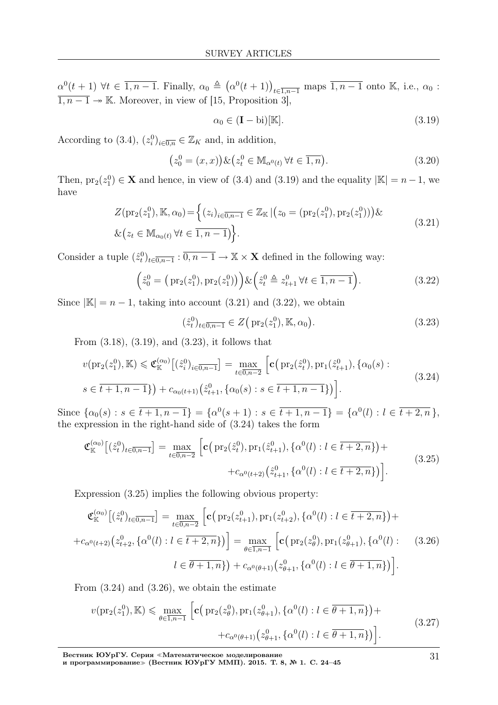$\alpha^{0}(t+1)$   $\forall t \in \overline{1,n-1}$ . Finally,  $\alpha_{0} \triangleq (\alpha^{0}(t+1))_{t \in \overline{1,n-1}}$  maps  $\overline{1,n-1}$  onto K, i.e.,  $\alpha_{0}$ :  $\overline{1, n-1}$  → K. Moreover, in view of [15, Proposition 3],

$$
\alpha_0 \in (\mathbf{I} - \text{bi})[\mathbb{K}].\tag{3.19}
$$

According to (3.4),  $(z_i^0)_{i \in \overline{0,n}} \in \mathbb{Z}_K$  and, in addition,

$$
(z_0^0 = (x, x)) \& (z_t^0 \in M_{\alpha^0(t)} \forall t \in \overline{1, n}).
$$
\n(3.20)

Then,  $pr_2(z_1^0) \in \mathbf{X}$  and hence, in view of (3.4) and (3.19) and the equality  $|\mathbb{K}| = n - 1$ , we have

$$
Z(\text{pr}_2(z_1^0), \mathbb{K}, \alpha_0) = \left\{ (z_i)_{i \in \overline{0, n-1}} \in \mathbb{Z}_{\mathbb{K}} \, | \, (z_0 = (\text{pr}_2(z_1^0), \text{pr}_2(z_1^0))) \& \\ \& (z_t \in \mathbb{M}_{\alpha_0(t)} \, \forall t \in \overline{1, n-1}) \right\}.
$$
\n
$$
(3.21)
$$

Consider a tuple  $(\hat{z}_t^0)_{t\in\overline{0,n-1}}:\overline{0,n-1}\to\mathbb{X}\times\mathbf{X}$  defined in the following way:

$$
\left(\hat{z}_0^0 = (\text{pr}_2(z_1^0), \text{pr}_2(z_1^0))\right) \& \left(\hat{z}_t^0 \triangleq z_{t+1}^0 \,\forall t \in \overline{1, n-1}\right). \tag{3.22}
$$

Since  $|\mathbb{K}| = n - 1$ , taking into account (3.21) and (3.22), we obtain

$$
\left(\hat{z}_t^0\right)_{t \in \overline{0,n-1}} \in Z\left(\operatorname{pr}_2(z_1^0), \mathbb{K}, \alpha_0\right). \tag{3.23}
$$

From (3.18), (3.19), and (3.23), it follows that

$$
v(\text{pr}_2(z_1^0), \mathbb{K}) \leq \mathfrak{C}_{\mathbb{K}}^{(\alpha_0)} \left[ (\hat{z}_i^0)_{i \in \overline{0, n-1}} \right] = \max_{t \in \overline{0, n-2}} \left[ \mathbf{c} \left( \text{pr}_2(\hat{z}_t^0), \text{pr}_1(\hat{z}_{t+1}^0), \{ \alpha_0(s) : s \in \overline{t+1, n-1} \} \right) + c_{\alpha_0(t+1)} (\hat{z}_{t+1}^0, \{ \alpha_0(s) : s \in \overline{t+1, n-1} \} ) \right].
$$
\n(3.24)

Since  $\{\alpha_0(s) : s \in \overline{t+1, n-1}\} = \{\alpha^0(s+1) : s \in \overline{t+1, n-1}\} = \{\alpha^0(l) : l \in \overline{t+2, n}\},\$ the expression in the right-hand side of (3.24) takes the form

$$
\mathfrak{C}_{\mathbb{K}}^{(\alpha_{0})}[(\hat{z}_{t}^{0})_{t\in\overline{0,n-1}}] = \max_{t\in\overline{0,n-2}} \left[ \mathbf{c}(\mathrm{pr}_{2}(\hat{z}_{t}^{0}), \mathrm{pr}_{1}(\hat{z}_{t+1}^{0}), \{\alpha^{0}(l) : l \in \overline{t+2,n}\}) + \right. \\
\left. + c_{\alpha^{0}(t+2)}(\hat{z}_{t+1}^{0}, \{\alpha^{0}(l) : l \in \overline{t+2,n}\}) \right].
$$
\n(3.25)

Expression (3.25) implies the following obvious property:

$$
\mathfrak{C}_{\mathbb{K}}^{(\alpha_{0})} [(\hat{z}_{t}^{0})_{t \in \overline{0,n-1}}] = \max_{t \in \overline{0,n-2}} \left[ \mathbf{c} \big( \operatorname{pr}_{2}(z_{t+1}^{0}), \operatorname{pr}_{1}(z_{t+2}^{0}), \{\alpha^{0}(l) : l \in \overline{t+2,n}\} \big) +
$$
  
+ $c_{\alpha^{0}(t+2)} \big( z_{t+2}^{0}, \{\alpha^{0}(l) : l \in \overline{t+2,n}\} \big) \right] = \max_{\theta \in \overline{1,n-1}} \left[ \mathbf{c} \big( \operatorname{pr}_{2}(z_{\theta}^{0}), \operatorname{pr}_{1}(z_{\theta+1}^{0}), \{\alpha^{0}(l) : (3.26) \} \right]$   

$$
l \in \overline{\theta+1,n}\} + c_{\alpha^{0}(\theta+1)} \big( z_{\theta+1}^{0}, \{\alpha^{0}(l) : l \in \overline{\theta+1,n}\} \big) \right].
$$

From (3.24) and (3.26), we obtain the estimate

$$
v(\mathrm{pr}_2(z_1^0), \mathbb{K}) \leq \max_{\theta \in \overline{1,n-1}} \left[ \mathbf{c}(\mathrm{pr}_2(z_\theta^0), \mathrm{pr}_1(z_{\theta+1}^0), \{ \alpha^0(l) : l \in \overline{\theta+1,n} \}) + \right. \\
\left. + c_{\alpha^0(\theta+1)}(z_{\theta+1}^0, \{ \alpha^0(l) : l \in \overline{\theta+1,n} \}) \right].
$$
\n(3.27)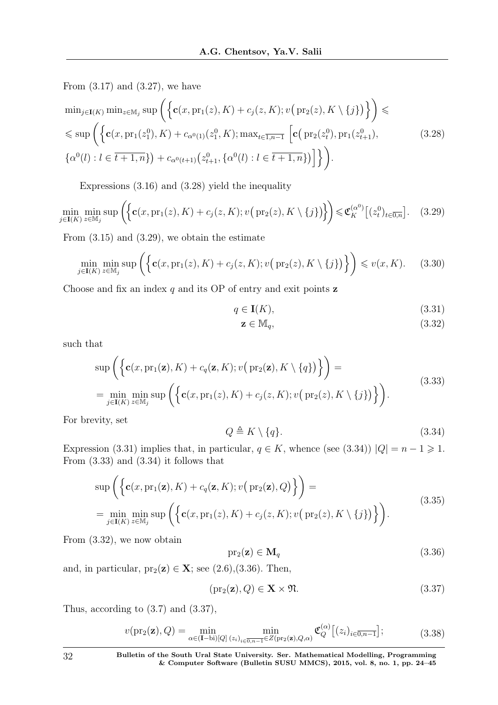From  $(3.17)$  and  $(3.27)$ , we have

$$
\min_{j \in \mathbf{I}(K)} \min_{z \in \mathbb{M}_j} \sup \left( \left\{ \mathbf{c}(x, \text{pr}_1(z), K) + c_j(z, K); v(\text{pr}_2(z), K \setminus \{j\}) \right\} \right) \leq \sup \left( \left\{ \mathbf{c}(x, \text{pr}_1(z_1^0), K) + c_{\alpha^0(1)}(z_1^0, K); \max_{t \in \overline{1, n-1}} \left[ \mathbf{c}(\text{pr}_2(z_t^0), \text{pr}_1(z_{t+1}^0), \left( \mathbf{c}_t^0(z_t^0) \right) : t \in \overline{t+1, n} \right] \right) + c_{\alpha^0(t+1)}(z_{t+1}^0, \{\alpha^0(l) : l \in \overline{t+1, n} \}) \right) \right). \tag{3.28}
$$

Expressions (3.16) and (3.28) yield the inequality

$$
\min_{j\in\mathbf{I}(K)}\min_{z\in\mathbb{M}_j}\sup\left(\left\{\mathbf{c}(x,\text{pr}_1(z),K)+c_j(z,K);v\big(\text{pr}_2(z),K\setminus\{j\}\big)\right\}\right)\leqslant\mathfrak{C}_K^{(\alpha^0)}\big[(z_t^0)_{t\in\overline{0,n}}\big].\tag{3.29}
$$

From  $(3.15)$  and  $(3.29)$ , we obtain the estimate

$$
\min_{j \in \mathbf{I}(K)} \min_{z \in \mathbb{M}_j} \sup \left( \left\{ \mathbf{c}(x, \text{pr}_1(z), K) + c_j(z, K); v \left( \text{pr}_2(z), K \setminus \{j\} \right) \right\} \right) \leqslant v(x, K). \tag{3.30}
$$

Choose and fix an index  $q$  and its OP of entry and exit points  $z$ 

$$
q \in \mathbf{I}(K),\tag{3.31}
$$

$$
\mathbf{z} \in \mathbb{M}_q,\tag{3.32}
$$

such that

$$
\sup \left( \left\{ \mathbf{c}(x, \mathrm{pr}_1(\mathbf{z}), K) + c_q(\mathbf{z}, K); v\left(\mathrm{pr}_2(\mathbf{z}), K \setminus \{q\}\right) \right\} \right) = \min_{j \in \mathbf{I}(K)} \min_{z \in \mathbb{M}_j} \sup \left( \left\{ \mathbf{c}(x, \mathrm{pr}_1(z), K) + c_j(z, K); v\left(\mathrm{pr}_2(z), K \setminus \{j\}\right) \right\} \right).
$$
\n(3.33)

For brevity, set

$$
Q \triangleq K \setminus \{q\}.\tag{3.34}
$$

Expression (3.31) implies that, in particular,  $q \in K$ , whence (see (3.34))  $|Q| = n - 1 \geq 1$ . From  $(3.33)$  and  $(3.34)$  it follows that

$$
\sup \left( \left\{ \mathbf{c}(x, \mathrm{pr}_1(\mathbf{z}), K) + c_q(\mathbf{z}, K); v(\mathrm{pr}_2(\mathbf{z}), Q) \right\} \right) = \n\min \min_{j \in \mathbf{I}(K)} \sup \left( \left\{ \mathbf{c}(x, \mathrm{pr}_1(z), K) + c_j(z, K); v(\mathrm{pr}_2(z), K \setminus \{j\}) \right\} \right).
$$
\n(3.35)

From (3.32), we now obtain

$$
\text{pr}_2(\mathbf{z}) \in \mathbf{M}_q \tag{3.36}
$$

and, in particular,  $pr_2(z) \in X$ ; see (2.6),(3.36). Then,

$$
(\text{pr}_2(\mathbf{z}), Q) \in \mathbf{X} \times \mathfrak{N}.\tag{3.37}
$$

Thus, according to  $(3.7)$  and  $(3.37)$ ,

$$
v(\text{pr}_2(\mathbf{z}), Q) = \min_{\alpha \in (\mathbf{I} - \text{bi})[Q]} \min_{(z_i)_{i \in \overline{0, n-1}} \in Z(\text{pr}_2(\mathbf{z}), Q, \alpha)} \mathfrak{C}_Q^{(\alpha)}[(z_i)_{i \in \overline{0, n-1}}];
$$
(3.38)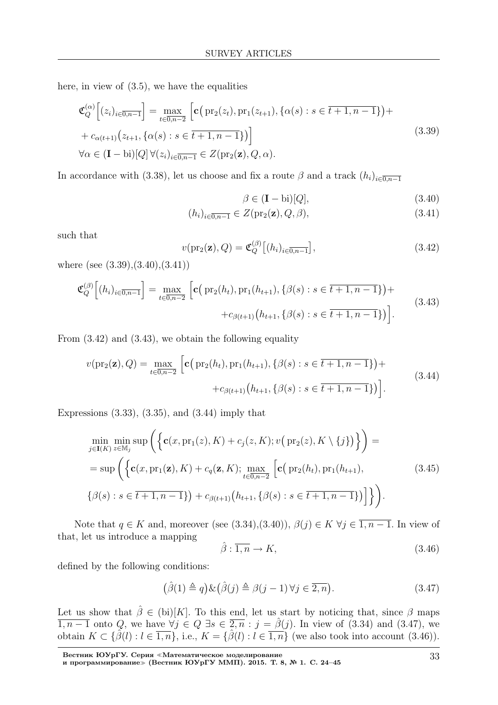here, in view of (3.5), we have the equalities

$$
\mathfrak{C}_Q^{(\alpha)}\Big[(z_i)_{i\in\overline{0,n-1}}\Big] = \max_{t\in\overline{0,n-2}} \Big[\mathbf{c}\Big(\mathrm{pr}_2(z_t),\mathrm{pr}_1(z_{t+1}),\{\alpha(s):s\in\overline{t+1,n-1}\}\Big) +
$$
  
+  $c_{\alpha(t+1)}(z_{t+1},\{\alpha(s):s\in\overline{t+1,n-1}\}\Big)\Big]$   

$$
\forall \alpha \in (\mathbf{I}-\mathrm{bi})[Q] \,\forall (z_i)_{i\in\overline{0,n-1}} \in Z(\mathrm{pr}_2(\mathbf{z}),Q,\alpha).
$$
\n(3.39)

In accordance with (3.38), let us choose and fix a route  $\beta$  and a track  $(h_i)_{i\in\overline{0,n-1}}$ 

$$
\beta \in (\mathbf{I} - \text{bi})[Q],\tag{3.40}
$$

$$
(h_i)_{i \in \overline{0,n-1}} \in Z(\mathrm{pr}_2(\mathbf{z}), Q, \beta), \tag{3.41}
$$

such that

$$
v(\text{pr}_2(\mathbf{z}), Q) = \mathfrak{C}_Q^{(\beta)} \big[ (h_i)_{i \in \overline{0, n-1}} \big], \tag{3.42}
$$

where (see (3.39),(3.40),(3.41))

$$
\mathfrak{C}_Q^{(\beta)}\Big[(h_i)_{i\in\overline{0,n-1}}\Big] = \max_{t\in\overline{0,n-2}} \Big[\mathbf{c}\Big(\mathrm{pr}_2(h_t),\mathrm{pr}_1(h_{t+1}),\{\beta(s):s\in\overline{t+1,n-1}\}\Big) +
$$
\n
$$
+c_{\beta(t+1)}\big(h_{t+1},\{\beta(s):s\in\overline{t+1,n-1}\}\big)\Big].
$$
\n(3.43)

From (3.42) and (3.43), we obtain the following equality

$$
v(\text{pr}_2(\mathbf{z}), Q) = \max_{t \in \overline{0, n-2}} \left[ \mathbf{c}(\text{pr}_2(h_t), \text{pr}_1(h_{t+1}), \{ \beta(s) : s \in \overline{t+1, n-1} \}) + \right. \\
\left. + c_{\beta(t+1)}(h_{t+1}, \{ \beta(s) : s \in \overline{t+1, n-1} \}) \right].
$$
\n(3.44)

Expressions  $(3.33)$ ,  $(3.35)$ , and  $(3.44)$  imply that

$$
\min_{j \in \mathbf{I}(K)} \min_{z \in \mathbb{M}_j} \sup \left( \left\{ \mathbf{c}(x, \text{pr}_1(z), K) + c_j(z, K); v(\text{pr}_2(z), K \setminus \{j\}) \right\} \right) =
$$
\n
$$
= \sup \left( \left\{ \mathbf{c}(x, \text{pr}_1(\mathbf{z}), K) + c_q(\mathbf{z}, K); \max_{t \in \overline{0, n-2}} \left[ \mathbf{c}(\text{pr}_2(h_t), \text{pr}_1(h_{t+1}), \mathbf{c}(\mathbf{z}, \mathbf{z}) \right] \right\} \right),
$$
\n
$$
\left\{ \beta(s) : s \in \overline{t+1, n-1} \right\} + c_{\beta(t+1)}(h_{t+1}, \{ \beta(s) : s \in \overline{t+1, n-1} \}) \right\} \right). \tag{3.45}
$$

Note that  $q \in K$  and, moreover (see (3.34),(3.40)),  $\beta(j) \in K \ \forall j \in \overline{1, n-1}$ . In view of that, let us introduce a mapping

$$
\hat{\beta} : \overline{1, n} \to K,\tag{3.46}
$$

defined by the following conditions:

$$
(\hat{\beta}(1) \triangleq q) \& (\hat{\beta}(j) \triangleq \beta(j-1) \forall j \in \overline{2, n}).
$$
\n(3.47)

Let us show that  $\hat{\beta} \in (bi)[K]$ . To this end, let us start by noticing that, since  $\beta$  maps  $\overline{1, n-1}$  onto Q, we have  $\forall j \in Q \exists s \in \overline{2, n} : j = \hat{\beta}(j)$ . In view of (3.34) and (3.47), we obtain  $K \subset \{\hat{\beta}(l) : l \in \overline{1,n}\},\$ i.e.,  $K = \{\hat{\beta}(l) : l \in \overline{1,n}\}$  (we also took into account  $(3.46)$ ).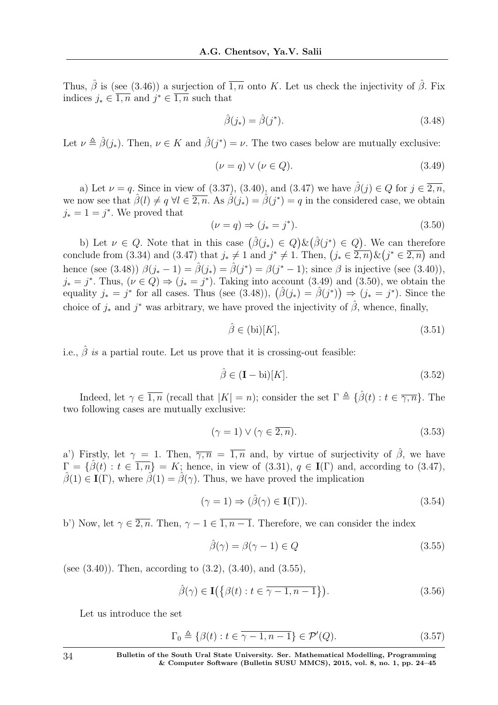Thus,  $\hat{\beta}$  is (see (3.46)) a surjection of  $\overline{1,n}$  onto K. Let us check the injectivity of  $\hat{\beta}$ . Fix indices  $j_* \in \overline{1,n}$  and  $j^* \in \overline{1,n}$  such that

$$
\hat{\beta}(j_*) = \hat{\beta}(j^*). \tag{3.48}
$$

Let  $\nu \triangleq \hat{\beta}(j_*)$ . Then,  $\nu \in K$  and  $\hat{\beta}(j^*) = \nu$ . The two cases below are mutually exclusive:

$$
(\nu = q) \lor (\nu \in Q). \tag{3.49}
$$

a) Let  $\nu = q$ . Since in view of (3.37), (3.40), and (3.47) we have  $\hat{\beta}(j) \in Q$  for  $j \in \overline{2, n}$ , we now see that  $\hat{\beta}(l) \neq q \ \forall l \in \overline{2,n}$ . As  $\hat{\beta}(j_*) = \hat{\beta}(j^*) = q$  in the considered case, we obtain  $j_* = 1 = j^*$ . We proved that

$$
(\nu = q) \Rightarrow (j_* = j^*). \tag{3.50}
$$

b) Let  $\nu \in Q$ . Note that in this case  $(\hat{\beta}(j_*) \in Q) \& (\hat{\beta}(j^*) \in Q)$ . We can therefore conclude from (3.34) and (3.47) that  $j_* \neq 1$  and  $j^* \neq 1$ . Then,  $(j_* \in \overline{2,n}) \& (j^* \in \overline{2,n})$  and hence (see (3.48))  $\beta(j_{*}-1) = \hat{\beta}(j_{*}) = \hat{\beta}(j^{*}) = \beta(j^{*}-1)$ ; since  $\beta$  is injective (see (3.40)),  $j_* = j^*$ . Thus,  $(\nu \in Q) \Rightarrow (j_* = j^*)$ . Taking into account (3.49) and (3.50), we obtain the equality  $j_* = j^*$  for all cases. Thus (see (3.48)),  $(\hat{\beta}(j_*) = \hat{\beta}(j^*)) \Rightarrow (j_* = j^*)$ . Since the choice of  $j_*$  and  $j^*$  was arbitrary, we have proved the injectivity of  $\hat{\beta}$ , whence, finally,

$$
\hat{\beta} \in (\text{bi})[K],\tag{3.51}
$$

i.e.,  $\hat{\beta}$  is a partial route. Let us prove that it is crossing-out feasible:

$$
\hat{\beta} \in (\mathbf{I} - \text{bi})[K].\tag{3.52}
$$

Indeed, let  $\gamma \in \overline{1,n}$  (recall that  $|K| = n$ ); consider the set  $\Gamma \triangleq {\hat{\beta}(t) : t \in \overline{\gamma,n}}$ . The two following cases are mutually exclusive:

$$
(\gamma = 1) \lor (\gamma \in \overline{2, n}). \tag{3.53}
$$

a') Firstly, let  $\gamma = 1$ . Then,  $\overline{\gamma, n} = \overline{1, n}$  and, by virtue of surjectivity of  $\hat{\beta}$ , we have  $\Gamma = {\hat{\beta}(t) : t \in \overline{1,n}} = K$ ; hence, in view of (3.31),  $q \in I(\Gamma)$  and, according to (3.47),  $\hat{\beta}(1) \in I(\Gamma)$ , where  $\hat{\beta}(1) = \hat{\beta}(\gamma)$ . Thus, we have proved the implication

$$
(\gamma = 1) \Rightarrow (\hat{\beta}(\gamma) \in \mathbf{I}(\Gamma)). \tag{3.54}
$$

b') Now, let  $\gamma \in \overline{2,n}$ . Then,  $\gamma - 1 \in \overline{1,n-1}$ . Therefore, we can consider the index

$$
\hat{\beta}(\gamma) = \beta(\gamma - 1) \in Q \tag{3.55}
$$

(see  $(3.40)$ ). Then, according to  $(3.2)$ ,  $(3.40)$ , and  $(3.55)$ ,

$$
\hat{\beta}(\gamma) \in \mathbf{I}(\{\beta(t) : t \in \overline{\gamma - 1, n - 1}\}).\tag{3.56}
$$

Let us introduce the set

$$
\Gamma_0 \triangleq \{ \beta(t) : t \in \overline{\gamma - 1, n - 1} \} \in \mathcal{P}'(Q). \tag{3.57}
$$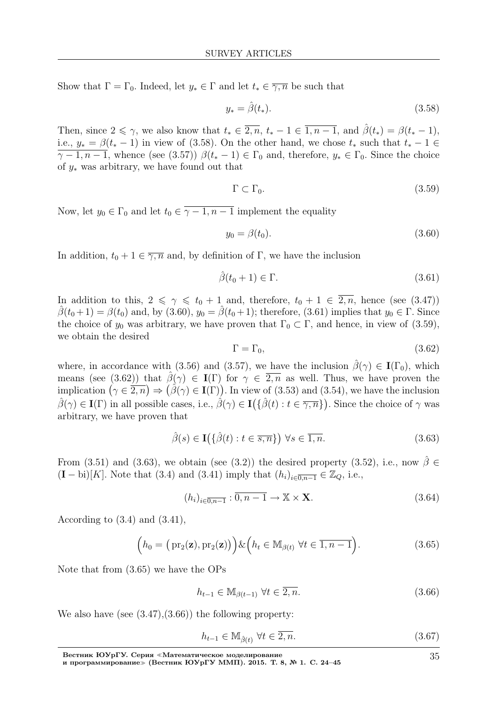Show that  $\Gamma = \Gamma_0$ . Indeed, let  $y_* \in \Gamma$  and let  $t_* \in \overline{\gamma, n}$  be such that

$$
y_* = \hat{\beta}(t_*) \tag{3.58}
$$

Then, since  $2 \leq \gamma$ , we also know that  $t_* \in \overline{2,n}$ ,  $t_* - 1 \in \overline{1,n-1}$ , and  $\hat{\beta}(t_*) = \beta(t_* - 1)$ , i.e.,  $y_* = \beta(t_* - 1)$  in view of (3.58). On the other hand, we chose  $t_*$  such that  $t_* - 1 \in$  $\overline{\gamma-1,n-1}$ , whence (see (3.57))  $\beta(t_*-1) \in \Gamma_0$  and, therefore,  $y_* \in \Gamma_0$ . Since the choice of y<sup>∗</sup> was arbitrary, we have found out that

$$
\Gamma \subset \Gamma_0. \tag{3.59}
$$

Now, let  $y_0 \in \Gamma_0$  and let  $t_0 \in \overline{\gamma-1, n-1}$  implement the equality

$$
y_0 = \beta(t_0). \tag{3.60}
$$

In addition,  $t_0 + 1 \in \overline{\gamma, n}$  and, by definition of Γ, we have the inclusion

$$
\hat{\beta}(t_0 + 1) \in \Gamma. \tag{3.61}
$$

In addition to this,  $2 \le \gamma \le t_0 + 1$  and, therefore,  $t_0 + 1 \in \overline{2, n}$ , hence (see (3.47))  $\hat{\beta}(t_0+1) = \beta(t_0)$  and, by (3.60),  $y_0 = \hat{\beta}(t_0+1)$ ; therefore, (3.61) implies that  $y_0 \in \Gamma$ . Since the choice of  $y_0$  was arbitrary, we have proven that  $\Gamma_0 \subset \Gamma$ , and hence, in view of (3.59), we obtain the desired

$$
\Gamma = \Gamma_0,\tag{3.62}
$$

where, in accordance with (3.56) and (3.57), we have the inclusion  $\hat{\beta}(\gamma) \in I(\Gamma_0)$ , which means (see (3.62)) that  $\hat{\beta}(\gamma) \in I(\Gamma)$  for  $\gamma \in \overline{2,n}$  as well. Thus, we have proven the implication  $(\gamma \in \overline{2,n}) \Rightarrow (\hat{\beta}(\gamma) \in I(\Gamma))$ . In view of (3.53) and (3.54), we have the inclusion  $\hat{\beta}(\gamma) \in I(\Gamma)$  in all possible cases, i.e.,  $\hat{\beta}(\gamma) \in I(\{\hat{\beta}(t) : t \in \overline{\gamma, n}\})$ . Since the choice of  $\gamma$  was arbitrary, we have proven that

$$
\hat{\beta}(s) \in \mathbf{I}\big(\{\hat{\beta}(t) : t \in \overline{s, n}\}\big) \,\,\forall s \in \overline{1, n}.\tag{3.63}
$$

From (3.51) and (3.63), we obtain (see (3.2)) the desired property (3.52), i.e., now  $\hat{\beta} \in$  $(I - bi)[K]$ . Note that (3.4) and (3.41) imply that  $(h_i)_{i \in \overline{0,n-1}} \in \mathbb{Z}_Q$ , i.e.,

$$
(h_i)_{i \in \overline{0,n-1}} : \overline{0,n-1} \to \mathbb{X} \times \mathbf{X}.
$$
\n(3.64)

According to (3.4) and (3.41),

$$
\left(h_0 = (\text{pr}_2(\mathbf{z}), \text{pr}_2(\mathbf{z}))\right) \& \left(h_t \in \mathbb{M}_{\beta(t)} \,\forall t \in \overline{1, n-1}\right). \tag{3.65}
$$

Note that from (3.65) we have the OPs

$$
h_{t-1} \in \mathbb{M}_{\beta(t-1)} \,\,\forall t \in \overline{2, n}.\tag{3.66}
$$

We also have (see  $(3.47),(3.66)$ ) the following property:

$$
h_{t-1} \in \mathbb{M}_{\hat{\beta}(t)} \,\,\forall t \in \overline{2, n}.\tag{3.67}
$$

Вестник ЮУрГУ. Серия <sup>≪</sup>Математическое моделирование и программирование» (Вестник ЮУрГУ ММП). 2015. Т. 8, № 1. С. 24-45 35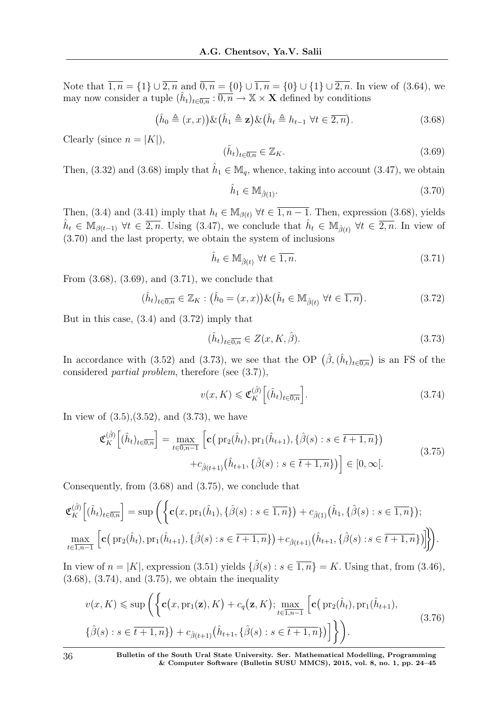Note that  $\overline{1,n} = \{1\} \cup \overline{2,n}$  and  $\overline{0,n} = \{0\} \cup \overline{1,n} = \{0\} \cup \{1\} \cup \overline{2,n}$ . In view of (3.64), we may now consider a tuple  $(\hat{h}_t)_{t\in\overline{0,n}} : \overline{0,n} \to \mathbb{X} \times \mathbf{X}$  defined by conditions

$$
(\hat{h}_0 \triangleq (x, x)) \& (\hat{h}_1 \triangleq \mathbf{z}) \& (\hat{h}_t \triangleq h_{t-1} \ \forall t \in \overline{2, n}). \tag{3.68}
$$

Clearly (since  $n = |K|$ ),

$$
(\hat{h}_t)_{t \in \overline{0,n}} \in \mathbb{Z}_K. \tag{3.69}
$$

Then, (3.32) and (3.68) imply that  $\hat{h}_1 \in \mathbb{M}_q$ , whence, taking into account (3.47), we obtain

$$
\hat{h}_1 \in \mathbb{M}_{\hat{\beta}(1)}.\tag{3.70}
$$

Then, (3.4) and (3.41) imply that  $h_t \in \mathbb{M}_{\beta(t)}$   $\forall t \in \overline{1, n-1}$ . Then, expression (3.68), yields  $\hat{h}_t \in \mathbb{M}_{\beta(t-1)} \ \forall t \in \overline{2,n}$ . Using  $(3.47)$ , we conclude that  $\hat{h}_t \in \mathbb{M}_{\hat{\beta}(t)} \ \forall t \in \overline{2,n}$ . In view of (3.70) and the last property, we obtain the system of inclusions

$$
\hat{h}_t \in \mathbb{M}_{\hat{\beta}(t)} \,\,\forall t \in \overline{1,n}.\tag{3.71}
$$

From (3.68), (3.69), and (3.71), we conclude that

$$
(\hat{h}_t)_{t \in \overline{0,n}} \in \mathbb{Z}_K : (\hat{h}_0 = (x,x)) \& (\hat{h}_t \in \mathbb{M}_{\hat{\beta}(t)} \; \forall t \in \overline{1,n}). \tag{3.72}
$$

But in this case, (3.4) and (3.72) imply that

$$
(\hat{h}_t)_{t \in \overline{0,n}} \in Z(x, K, \hat{\beta}). \tag{3.73}
$$

In accordance with (3.52) and (3.73), we see that the OP  $(\hat{\beta},(\hat{h}_t)_{t\in\overline{0,n}})$  is an FS of the considered partial problem, therefore (see (3.7)),

$$
v(x,K) \leqslant \mathfrak{C}_K^{(\hat{\beta})} \Big[ (\hat{h}_t)_{t \in \overline{0,n}} \Big]. \tag{3.74}
$$

In view of  $(3.5), (3.52),$  and  $(3.73),$  we have

$$
\mathfrak{C}_{K}^{(\hat{\beta})} \Big[ (\hat{h}_{t})_{t \in \overline{0,n}} \Big] = \max_{t \in \overline{0,n-1}} \Big[ \mathbf{c} \big( \operatorname{pr}_{2}(\hat{h}_{t}), \operatorname{pr}_{1}(\hat{h}_{t+1}), \{ \hat{\beta}(s) : s \in \overline{t+1,n} \} \big) + c_{\hat{\beta}(t+1)} (\hat{h}_{t+1}, \{ \hat{\beta}(s) : s \in \overline{t+1,n} \} ) \Big] \in [0, \infty[.
$$
\n(3.75)

Consequently, from (3.68) and (3.75), we conclude that

$$
\mathfrak{C}_{K}^{(\hat{\beta})}\Big[(\hat{h}_{t})_{t\in\overline{0,n}}\Big] = \sup\Big(\Big\{\mathbf{c}\big(x,\mathrm{pr}_{1}(\hat{h}_{1}),\{\hat{\beta}(s):s\in\overline{1,n}\}\big) + c_{\hat{\beta}(1)}(\hat{h}_{1},\{\hat{\beta}(s):s\in\overline{1,n}\});
$$
\n
$$
\max_{t\in\overline{1,n-1}}\Big[\mathbf{c}\big(\mathrm{pr}_{2}(\hat{h}_{t}),\mathrm{pr}_{1}(\hat{h}_{t+1}),\{\hat{\beta}(s):s\in\overline{t+1,n}\}\big) + c_{\hat{\beta}(t+1)}(\hat{h}_{t+1},\{\hat{\beta}(s):s\in\overline{t+1,n}\})\Big]\Big\}\Big).
$$

In view of  $n = |K|$ , expression (3.51) yields  $\{\hat{\beta}(s) : s \in \overline{1,n}\} = K$ . Using that, from (3.46),  $(3.68), (3.74),$  and  $(3.75),$  we obtain the inequality

$$
v(x,K) \leq \sup\left(\left\{\mathbf{c}(x,\text{pr}_1(\mathbf{z}),K) + c_q(\mathbf{z},K); \max_{t\in\overline{1,n-1}}\left[\mathbf{c}(\text{pr}_2(\hat{h}_t),\text{pr}_1(\hat{h}_{t+1}),\right.\right.\right.\\ \left.\left.\left\{\hat{\beta}(s):s\in\overline{t+1,n}\}\right) + c_{\hat{\beta}(t+1)}(\hat{h}_{t+1},\{\hat{\beta}(s):s\in\overline{t+1,n}\})\right]\right\}\right).
$$
\n(3.76)

36 Bulletin of the South Ural State University. Ser. Mathematical Modelling, Programming & Computer Software (Bulletin SUSU MMCS), 2015, vol. 8, no. 1, pp. 24–45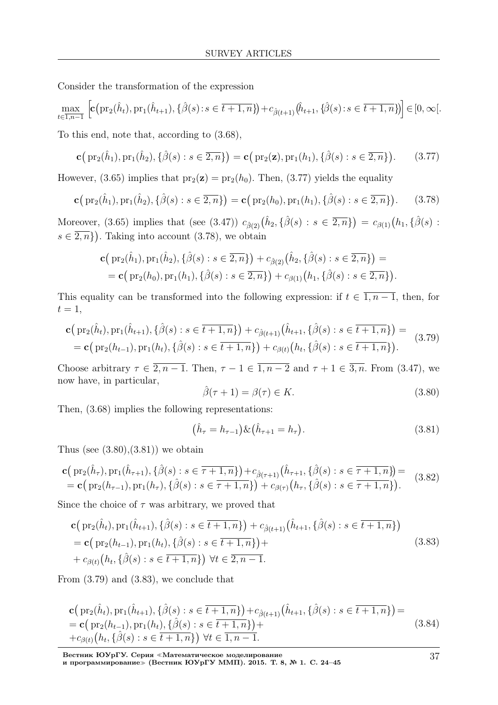Consider the transformation of the expression

$$
\max_{t \in \overline{1,n-1}} \left[ \mathbf{c} (\mathrm{pr}_2(\hat{h}_t), \mathrm{pr}_1(\hat{h}_{t+1}), \{ \hat{\beta}(s) : s \in \overline{t+1, n} \}) + c_{\hat{\beta}(t+1)}(\hat{h}_{t+1}, \{ \hat{\beta}(s) : s \in \overline{t+1, n} \}) \right] \in [0, \infty[.
$$

To this end, note that, according to (3.68),

$$
\mathbf{c}(\mathrm{pr}_2(\hat{h}_1), \mathrm{pr}_1(\hat{h}_2), \{\hat{\beta}(s) : s \in \overline{2, n}\}) = \mathbf{c}(\mathrm{pr}_2(\mathbf{z}), \mathrm{pr}_1(h_1), \{\hat{\beta}(s) : s \in \overline{2, n}\}).
$$
 (3.77)

However, (3.65) implies that  $pr_2(z) = pr_2(h_0)$ . Then, (3.77) yields the equality

$$
\mathbf{c}(\mathrm{pr}_2(\hat{h}_1), \mathrm{pr}_1(\hat{h}_2), \{\hat{\beta}(s) : s \in \overline{2, n}\}) = \mathbf{c}(\mathrm{pr}_2(h_0), \mathrm{pr}_1(h_1), \{\hat{\beta}(s) : s \in \overline{2, n}\}).
$$
 (3.78)

Moreover, (3.65) implies that (see (3.47))  $c_{\hat{\beta}(2)}(\hat{h}_2, \{\hat{\beta}(s) : s \in \overline{2,n}\}) = c_{\beta(1)}(h_1, \{\hat{\beta}(s) : s \in \overline{2,n}\})$  $s \in \overline{2,n}$ ). Taking into account (3.78), we obtain

$$
\mathbf{c}(\mathrm{pr}_2(\hat{h}_1),\mathrm{pr}_1(\hat{h}_2),\{\hat{\beta}(s):s\in\overline{2,n}\})+c_{\hat{\beta}(2)}(\hat{h}_2,\{\hat{\beta}(s):s\in\overline{2,n}\})=\n= \mathbf{c}(\mathrm{pr}_2(h_0),\mathrm{pr}_1(h_1),\{\hat{\beta}(s):s\in\overline{2,n}\})+c_{\beta(1)}(h_1,\{\hat{\beta}(s):s\in\overline{2,n}\}).
$$

This equality can be transformed into the following expression: if  $t \in \overline{1, n-1}$ , then, for  $t=1$ ,

$$
\mathbf{c}(\text{pr}_2(\hat{h}_t), \text{pr}_1(\hat{h}_{t+1}), \{\hat{\beta}(s) : s \in \overline{t+1, n}\}) + c_{\hat{\beta}(t+1)}(\hat{h}_{t+1}, \{\hat{\beta}(s) : s \in \overline{t+1, n}\}) =
$$
\n
$$
= \mathbf{c}(\text{pr}_2(h_{t-1}), \text{pr}_1(h_t), \{\hat{\beta}(s) : s \in \overline{t+1, n}\}) + c_{\beta(t)}(h_t, \{\hat{\beta}(s) : s \in \overline{t+1, n}\}).
$$
\n(3.79)

Choose arbitrary  $\tau \in \overline{2, n-1}$ . Then,  $\tau - 1 \in \overline{1, n-2}$  and  $\tau + 1 \in \overline{3, n}$ . From (3.47), we now have, in particular,

$$
\hat{\beta}(\tau + 1) = \beta(\tau) \in K. \tag{3.80}
$$

Then, (3.68) implies the following representations:

$$
(\hat{h}_{\tau} = h_{\tau-1}) \& (\hat{h}_{\tau+1} = h_{\tau}). \tag{3.81}
$$

Thus (see  $(3.80), (3.81)$ ) we obtain

$$
\mathbf{c}(\mathrm{pr}_2(\hat{h}_{\tau}), \mathrm{pr}_1(\hat{h}_{\tau+1}), \{\hat{\beta}(s) : s \in \overline{\tau+1, n}\}) + c_{\hat{\beta}(\tau+1)}(\hat{h}_{\tau+1}, \{\hat{\beta}(s) : s \in \overline{\tau+1, n}\}) =
$$
\n
$$
= \mathbf{c}(\mathrm{pr}_2(h_{\tau-1}), \mathrm{pr}_1(h_{\tau}), \{\hat{\beta}(s) : s \in \overline{\tau+1, n}\}) + c_{\beta(\tau)}(h_{\tau}, \{\hat{\beta}(s) : s \in \overline{\tau+1, n}\}).
$$
\n(3.82)

Since the choice of  $\tau$  was arbitrary, we proved that

$$
\mathbf{c}(\text{pr}_2(\hat{h}_t), \text{pr}_1(\hat{h}_{t+1}), \{\hat{\beta}(s) : s \in \overline{t+1, n}\}) + c_{\hat{\beta}(t+1)}(\hat{h}_{t+1}, \{\hat{\beta}(s) : s \in \overline{t+1, n}\})
$$
\n
$$
= \mathbf{c}(\text{pr}_2(h_{t-1}), \text{pr}_1(h_t), \{\hat{\beta}(s) : s \in \overline{t+1, n}\}) + c_{\beta(t)}(h_t, \{\hat{\beta}(s) : s \in \overline{t+1, n}\}) \forall t \in \overline{2, n-1}.
$$
\n(3.83)

From (3.79) and (3.83), we conclude that

$$
\mathbf{c}(\text{pr}_2(\hat{h}_t), \text{pr}_1(\hat{h}_{t+1}), \{\hat{\beta}(s) : s \in \overline{t+1, n}\}) + c_{\hat{\beta}(t+1)}(\hat{h}_{t+1}, \{\hat{\beta}(s) : s \in \overline{t+1, n}\}) = \n= \mathbf{c}(\text{pr}_2(h_{t-1}), \text{pr}_1(h_t), \{\hat{\beta}(s) : s \in \overline{t+1, n}\}) + \n+ c_{\beta(t)}(h_t, \{\hat{\beta}(s) : s \in \overline{t+1, n}\}) \ \forall t \in \overline{1, n-1}.
$$
\n(3.84)

Вестник ЮУрГУ. Серия <sup>≪</sup>Математическое моделирование и программирование» (Вестник ЮУрГУ ММП). 2015. Т. 8, № 1. С. 24-45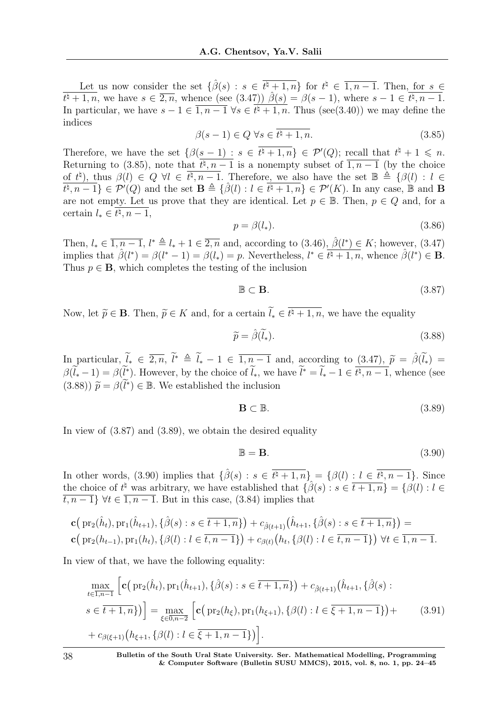Let us now consider the set  $\{\hat{\beta}(s) : s \in \overline{t^{\sharp}+1,n}\}\$  for  $t^{\sharp} \in \overline{1,n-1}$ . Then, for  $s \in$  $\overline{t^{4}+1,n}$ , we have  $s \in \overline{2,n}$ , whence (see (3.47))  $\hat{\beta}(s) = \beta(s-1)$ , where  $s-1 \in \overline{t^{4}, n-1}$ . In particular, we have  $s - 1 \in \overline{1, n - 1}$   $\forall s \in t^{\sharp} + 1, n$ . Thus (see(3.40)) we may define the indices

$$
\beta(s-1) \in Q \,\,\forall s \in \overline{t^{\natural}+1, n}.\tag{3.85}
$$

Therefore, we have the set  $\{\beta(s-1) : s \in \overline{t^{\natural}+1,n}\}\in \mathcal{P}'(Q)$ ; recall that  $t^{\natural}+1 \leq n$ . Returning to (3.85), note that  $t^{\sharp}, n-1$  is a nonempty subset of  $\overline{1, n-1}$  (by the choice of  $t^{\natural}$ ), thus  $\beta(l) \in Q$   $\forall l \in \overline{t^{\natural}, n-1}$ . Therefore, we also have the set  $\mathbb{B} \triangleq {\beta(l)} : l \in$  $\overline{t^{\natural}, n-1} \in \mathcal{P}'(Q)$  and the set  $\mathbf{B} \triangleq \{ \hat{\beta}(l) : l \in \overline{t^{\natural}+1,n} \} \in \mathcal{P}'(K)$ . In any case,  $\overline{\mathbb{B}}$  and  $\mathbf{B}$ are not empty. Let us prove that they are identical. Let  $p \in \mathbb{B}$ . Then,  $p \in Q$  and, for a certain  $l_* \in t^{\natural}, n-1$ ,

$$
p = \beta(l_*)\tag{3.86}
$$

Then,  $l_* \in \overline{1, n-1}$ ,  $l^* \triangleq l_* + 1 \in \overline{2, n}$  and, according to  $(3.46), \hat{\beta}(l^*) \in K$ ; however,  $(3.47)$ implies that  $\hat{\beta}(l^*) = \beta(l^*-1) = \beta(l_*) = p$ . Nevertheless,  $l^* \in \overline{t^{\natural}+1,n}$ , whence  $\hat{\beta}(l^*) \in \mathbf{B}$ . Thus  $p \in \mathbf{B}$ , which completes the testing of the inclusion

$$
\mathbb{B} \subset \mathbf{B}.\tag{3.87}
$$

Now, let  $\widetilde{p} \in \mathbf{B}$ . Then,  $\widetilde{p} \in K$  and, for a certain  $\widetilde{l}_* \in \overline{t^{\natural}+1,n}$ , we have the equality

$$
\widetilde{p} = \widehat{\beta}(\widetilde{l}_*). \tag{3.88}
$$

In particular,  $\tilde{l}_* \in \overline{2,n}$ ,  $\tilde{l}^* \triangleq \tilde{l}_* - 1 \in \overline{1,n-1}$  and, according to  $(3.47)$ ,  $\tilde{p} = \hat{\beta}(\tilde{l}_*) =$  $\beta(\tilde{l}_* - 1) = \beta(\tilde{l}_*^*)$ . However, by the choice of  $\tilde{l}_*$ , we have  $\tilde{l}^* = \tilde{l}_* - 1 \in \tilde{t}^{\sharp}, n - 1$ , whence (see (3.88))  $\widetilde{p} = \beta(\widetilde{l}^*) \in \mathbb{B}$ . We established the inclusion

$$
\mathbf{B} \subset \mathbb{B}.\tag{3.89}
$$

In view of (3.87) and (3.89), we obtain the desired equality

$$
\mathbb{B} = \mathbf{B}.\tag{3.90}
$$

In other words, (3.90) implies that  $\{\hat{\beta}(s) : s \in \overline{t^{\sharp}+1,n}\} = {\beta(l) : l \in \overline{t^{\sharp}, n-1}}$ . Since the choice of  $t^{\sharp}$  was arbitrary, we have established that  $\{\hat{\beta}(s): s \in \overline{t+1,n}\} = \{\beta(l): l \in$  $\overline{t, n-1}$   $\forall t \in \overline{1, n-1}$ . But in this case, (3.84) implies that

$$
\mathbf{c}(\mathrm{pr}_2(\hat{h}_t),\mathrm{pr}_1(\hat{h}_{t+1}),\{\hat{\beta}(s):s\in\overline{t+1,n}\})+c_{\hat{\beta}(t+1)}(\hat{h}_{t+1},\{\hat{\beta}(s):s\in\overline{t+1,n}\})=\mathbf{c}(\mathrm{pr}_2(h_{t-1}),\mathrm{pr}_1(h_t),\{\beta(l):l\in\overline{t,n-1}\})+c_{\beta(t)}(h_t,\{\beta(l):l\in\overline{t,n-1}\}) \,\,\forall t\in\overline{1,n-1}.
$$

In view of that, we have the following equality:

$$
\max_{t \in \overline{1,n-1}} \left[ \mathbf{c} \big( \operatorname{pr}_2(\hat{h}_t), \operatorname{pr}_1(\hat{h}_{t+1}), \{ \hat{\beta}(s) : s \in \overline{t+1,n} \} \big) + c_{\hat{\beta}(t+1)} (\hat{h}_{t+1}, \{ \hat{\beta}(s) : s \in \overline{t+1,n} \}) \right] = \max_{\xi \in \overline{0,n-2}} \left[ \mathbf{c} \big( \operatorname{pr}_2(h_\xi), \operatorname{pr}_1(h_{\xi+1}), \{ \beta(l) : l \in \xi+1,n-1 \} \big) + c_{\beta(\xi+1)} (h_{\xi+1}, \{ \beta(l) : l \in \overline{\xi+1,n-1} \}) \right].
$$
\n(3.91)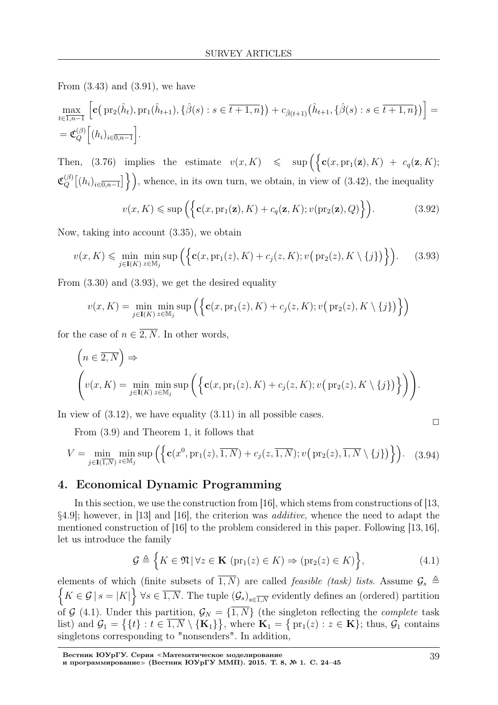From  $(3.43)$  and  $(3.91)$ , we have

$$
\max_{t \in \overline{1,n-1}} \left[ \mathbf{c} \big( \operatorname{pr}_2(\hat{h}_t), \operatorname{pr}_1(\hat{h}_{t+1}), \{ \hat{\beta}(s) : s \in \overline{t+1,n} \} \big) + c_{\hat{\beta}(t+1)} (\hat{h}_{t+1}, \{ \hat{\beta}(s) : s \in \overline{t+1,n} \}) \right] =
$$
\n
$$
= \mathfrak{C}_Q^{(\beta)} \left[ (h_i)_{i \in \overline{0,n-1}} \right].
$$

Then, (3.76) implies the estimate  $v(x, K) \leq \sup \left( \left\{ c(x, pr_1(\mathbf{z}), K) + c_q(\mathbf{z}, K) \right\} \right)$  $\mathfrak{C}^{(\beta)}_\cap$  $\{G_{Q}^{(\beta)}[(h_i)_{i\in\overline{0,n-1}}]\}$ , whence, in its own turn, we obtain, in view of (3.42), the inequality

$$
v(x, K) \leqslant \sup \Big( \Big\{ \mathbf{c}(x, \mathrm{pr}_1(\mathbf{z}), K) + c_q(\mathbf{z}, K); v(\mathrm{pr}_2(\mathbf{z}), Q) \Big\} \Big). \tag{3.92}
$$

Now, taking into account (3.35), we obtain

$$
v(x,K) \leq \min_{j\in\mathbf{I}(K)} \min_{z\in\mathbb{M}_j} \sup\left( \left\{ \mathbf{c}(x,\text{pr}_1(z),K) + c_j(z,K); v\big(\text{pr}_2(z),K\setminus\{j\} \big) \right\} \right). \tag{3.93}
$$

From (3.30) and (3.93), we get the desired equality

$$
v(x, K) = \min_{j \in \mathbf{I}(K)} \min_{z \in \mathbb{M}_j} \sup \Big( \Big\{ \mathbf{c}(x, \text{pr}_1(z), K) + c_j(z, K); v \big( \text{pr}_2(z), K \setminus \{j\} \big) \Big\} \Big)
$$

for the case of  $n \in \overline{2, N}$ . In other words,

$$
\left(n \in \overline{2,N}\right) \Rightarrow
$$
\n
$$
\left(v(x,K) = \min_{j \in \mathbf{I}(K)} \min_{z \in \mathbb{M}_j} \sup \left( \left\{ \mathbf{c}(x, \text{pr}_1(z), K) + c_j(z,K); v\left(\text{pr}_2(z), K \setminus \{j\}\right) \right\} \right) \right).
$$

In view of  $(3.12)$ , we have equality  $(3.11)$  in all possible cases.

From (3.9) and Theorem 1, it follows that

$$
V = \min_{j \in \mathbf{I}(\overline{1,N})} \min_{z \in \mathbb{M}_j} \sup \left( \left\{ \mathbf{c}(x^0, \text{pr}_1(z), \overline{1,N}) + c_j(z, \overline{1,N}); v\left(\text{pr}_2(z), \overline{1,N} \setminus \{j\} \right) \right\} \right). \tag{3.94}
$$

## 4. Economical Dynamic Programming

In this section, we use the construction from [16], which stems from constructions of [13, §4.9]; however, in [13] and [16], the criterion was additive, whence the need to adapt the mentioned construction of [16] to the problem considered in this paper. Following [13,16], let us introduce the family

$$
\mathcal{G} \triangleq \Big\{ K \in \mathfrak{N} \, | \, \forall z \in \mathbf{K} \, (\text{pr}_1(z) \in K) \Rightarrow (\text{pr}_2(z) \in K) \Big\},\tag{4.1}
$$

 $\{K \in \mathcal{G} \mid s = |K|\}$   $\forall s \in \overline{1, N}$ . The tuple  $(\mathcal{G}_s)_{s \in \overline{1, N}}$  evidently defines an (ordered) partition elements of which (finite subsets of  $\overline{1,N}$ ) are called *feasible (task) lists*. Assume  $\mathcal{G}_s \triangleq$ of G (4.1). Under this partition,  $\mathcal{G}_N = {\overline{1,N}}$  (the singleton reflecting the *complete* task list) and  $\mathcal{G}_1 = \{ \{t\} : t \in \overline{1,N} \setminus {\{\mathbf{K}_1\}} \}$ , where  $\mathbf{K}_1 = \{ \text{pr}_1(z) : z \in \mathbf{K} \}$ ; thus,  $\mathcal{G}_1$  contains singletons corresponding to "nonsenders". In addition,

 $\Box$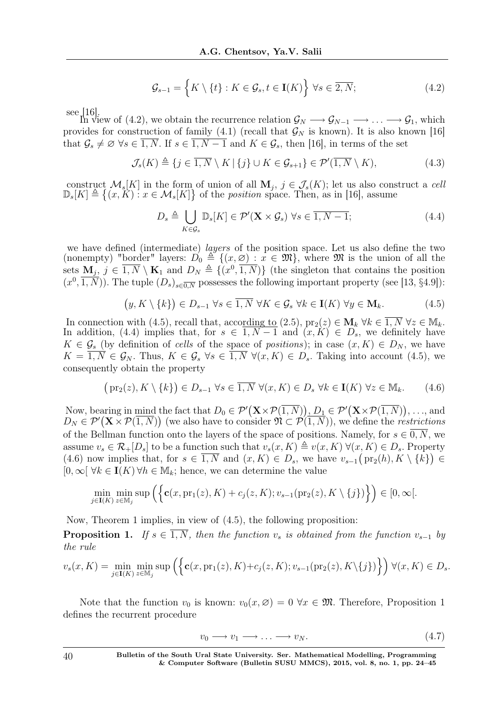$$
\mathcal{G}_{s-1} = \left\{ K \setminus \{t\} : K \in \mathcal{G}_s, t \in \mathbf{I}(K) \right\} \forall s \in \overline{2, N};\tag{4.2}
$$

see [16]. In view of (4.2), we obtain the recurrence relation  $\mathcal{G}_N \longrightarrow \mathcal{G}_{N-1} \longrightarrow \dots \longrightarrow \mathcal{G}_1$ , which provides for construction of family (4.1) (recall that  $\mathcal{G}_N$  is known). It is also known [16] that  $\mathcal{G}_s \neq \emptyset \ \forall s \in \overline{1, N}$ . If  $s \in \overline{1, N-1}$  and  $K \in \mathcal{G}_s$ , then [16], in terms of the set

$$
\mathcal{J}_s(K) \triangleq \{ j \in \overline{1, N} \setminus K \mid \{ j \} \cup K \in \mathcal{G}_{s+1} \} \in \mathcal{P}'(\overline{1, N} \setminus K), \tag{4.3}
$$

construct  $\mathcal{M}_s[K]$  in the form of union of all  $M_j$ ,  $j \in \mathcal{J}_s(K)$ ; let us also construct a cell  $\mathbb{D}_{s}[K] \triangleq \{(x,K): x \in \mathcal{M}_{s}[K]\}$  of the *position* space. Then, as in [16], assume

$$
D_s \triangleq \bigcup_{K \in \mathcal{G}_s} \mathbb{D}_s[K] \in \mathcal{P}'(\mathbf{X} \times \mathcal{G}_s) \,\forall s \in \overline{1, N-1};\tag{4.4}
$$

we have defined (intermediate) layers of the position space. Let us also define the two (nonempty) "border" layers:  $D_0 \triangleq \{(x, \emptyset) : x \in \mathfrak{M}\}\)$ , where  $\mathfrak{M}$  is the union of all the sets  $\mathbf{M}_j$ ,  $j \in \overline{1,N} \setminus \mathbf{K}_1$  and  $D_N \triangleq \{(x^0, \overline{1,N})\}$  (the singleton that contains the position  $(x^0, \overline{1, N})$ . The tuple  $(D_s)_{s \in \overline{0, N}}$  possesses the following important property (see [13, §4.9]):

$$
(y, K \setminus \{k\}) \in D_{s-1} \,\forall s \in \overline{1, N} \,\forall K \in \mathcal{G}_s \,\forall k \in \mathbf{I}(K) \,\forall y \in \mathbf{M}_k. \tag{4.5}
$$

In connection with (4.5), recall that, acco<u>rding to</u>  $(2.5)$ ,  $\text{pr}_2(z) \in \mathbf{M}_k \ \forall k \in \overline{1, N} \ \forall z \in \mathbb{M}_k$ . In addition, (4.4) implies that, for  $s \in 1, N-1$  and  $(x, K) \in D_s$ , we definitely have  $K \in \mathcal{G}_s$  (by definition of cells of the space of positions); in case  $(x, K) \in D_N$ , we have  $K = \overline{1, N} \in \mathcal{G}_N$ . Thus,  $K \in \mathcal{G}_s$   $\forall s \in \overline{1, N}$   $\forall (x, K) \in D_s$ . Taking into account (4.5), we consequently obtain the property

$$
\left(\operatorname{pr}_2(z), K \setminus \{k\}\right) \in D_{s-1} \,\,\forall s \in \overline{1, N} \,\,\forall (x, K) \in D_s \,\,\forall k \in \mathbf{I}(K) \,\,\forall z \in \mathbb{M}_k. \tag{4.6}
$$

Now, bearing in mind the fact that  $D_0 \in \mathcal{P}'(\mathbf{X} \times \mathcal{P}(\overline{1,N})), D_1 \in \mathcal{P}'(\mathbf{X} \times \mathcal{P}(\overline{1,N})), \dots$ , and  $D_N \in \mathcal{P}'(\mathbf{X} \times \mathcal{P}(\overline{1,N}))$  (we also have to consider  $\mathfrak{N} \subset \mathcal{P}(\overline{1,N})$ ), we define the *restrictions* of the Bellman function onto the layers of the space of positions. Namely, for  $s \in \overline{0, N}$ , we assume  $v_s \in \mathcal{R}_+[D_s]$  to be a function such that  $v_s(x, K) \triangleq v(x, K) \ \forall (x, K) \in D_s$ . Property (4.6) now implies that, for  $s \in \overline{1,N}$  and  $(x,K) \in D_s$ , we have  $v_{s-1}(\text{pr}_2(h), K \setminus \{k\}) \in$  $[0,\infty[ \forall k \in I(K) \forall h \in \mathbb{M}_k;$  hence, we can determine the value

$$
\min_{j\in\mathbf{I}(K)}\min_{z\in\mathbb{M}_j}\sup\left(\Big\{\mathbf{c}(x,\mathrm{pr}_1(z),K)+c_j(z,K);v_{s-1}(\mathrm{pr}_2(z),K\setminus\{j\})\Big\}\right)\in[0,\infty[.
$$

Now, Theorem 1 implies, in view of (4.5), the following proposition:

**Proposition 1.** If  $s \in \overline{1, N}$ , then the function  $v_s$  is obtained from the function  $v_{s-1}$  by the rule

$$
v_s(x,K) = \min_{j \in \mathbf{I}(K)} \min_{z \in \mathbb{M}_j} \sup \left( \left\{ \mathbf{c}(x, \text{pr}_1(z), K) + c_j(z, K); v_{s-1}(\text{pr}_2(z), K \setminus \{j\}) \right\} \right) \ \forall (x,K) \in D_s.
$$

Note that the function  $v_0$  is known:  $v_0(x, \emptyset) = 0 \ \forall x \in \mathfrak{M}$ . Therefore, Proposition 1 defines the recurrent procedure

$$
v_0 \longrightarrow v_1 \longrightarrow \dots \longrightarrow v_N. \tag{4.7}
$$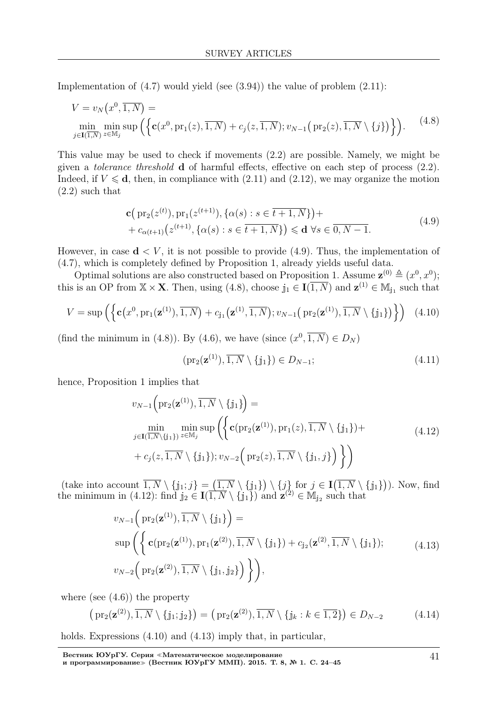Implementation of  $(4.7)$  would yield (see  $(3.94)$ ) the value of problem  $(2.11)$ :

$$
V = v_N(x^0, \overline{1, N}) = \min_{j \in \mathbf{I}(\overline{1, N})} \min_{z \in \mathbb{M}_j} \sup \left( \left\{ \mathbf{c}(x^0, pr_1(z), \overline{1, N}) + c_j(z, \overline{1, N}); v_{N-1} \left( pr_2(z), \overline{1, N} \setminus \{j\} \right) \right\} \right).
$$
 (4.8)

This value may be used to check if movements (2.2) are possible. Namely, we might be given a tolerance threshold d of harmful effects, effective on each step of process (2.2). Indeed, if  $V \le d$ , then, in compliance with (2.11) and (2.12), we may organize the motion (2.2) such that

$$
\mathbf{c}(\text{pr}_2(z^{(t)}), \text{pr}_1(z^{(t+1)}), \{ \alpha(s) : s \in \overline{t+1, N} \}) ++ c_{\alpha(t+1)}(z^{(t+1)}, \{ \alpha(s) : s \in \overline{t+1, N} \}) \leq \mathbf{d} \ \forall s \in \overline{0, N-1}.
$$
\n(4.9)

However, in case  $\mathbf{d} < V$ , it is not possible to provide (4.9). Thus, the implementation of (4.7), which is completely defined by Proposition 1, already yields useful data.

Optimal solutions are also constructed based on Proposition 1. Assume  $\mathbf{z}^{(0)} \triangleq (x^0, x^0);$ this is an OP from  $\mathbb{X} \times \mathbf{X}$ . Then, using (4.8), choose  $j_1 \in I(\overline{1,N})$  and  $\mathbf{z}^{(1)} \in \mathbb{M}_{j_1}$  such that

$$
V = \sup \left( \left\{ \mathbf{c}\left( x^0, \operatorname{pr}_1(\mathbf{z}^{(1)}), \overline{1, N} \right) + c_{j_1}\left( \mathbf{z}^{(1)}, \overline{1, N} \right); v_{N-1}\left( \operatorname{pr}_2(\mathbf{z}^{(1)}), \overline{1, N} \setminus \{j_1\} \right) \right\} \right) \tag{4.10}
$$

(find the minimum in (4.8)). By (4.6), we have (since  $(x^0, \overline{1, N}) \in D_N$ )

$$
(\text{pr}_2(\mathbf{z}^{(1)}), \overline{1, N} \setminus \{j_1\}) \in D_{N-1};\tag{4.11}
$$

hence, Proposition 1 implies that

$$
v_{N-1}\left(\text{pr}_2(\mathbf{z}^{(1)}), \overline{1, N} \setminus \{j_1\}\right) =
$$
  
\n
$$
\min_{j \in \mathbf{I}(\overline{1, N} \setminus \{j_1\})} \min_{z \in \mathbb{M}_j} \sup \left( \left\{ \mathbf{c}(\text{pr}_2(\mathbf{z}^{(1)}), \text{pr}_1(z), \overline{1, N} \setminus \{j_1\}) + c_j(z, \overline{1, N} \setminus \{j_1\}) ; v_{N-2}\left(\text{pr}_2(z), \overline{1, N} \setminus \{j_1, j\}\right) \right\} \right)
$$
\n(4.12)

(take into account  $\overline{1,N} \setminus \{j_1;j\} = (\overline{1,N} \setminus \{j_1\}) \setminus \{j\}$  for  $j \in I(\overline{1,N} \setminus \{j_1\})$ ). Now, find the minimum in (4.12): find  $j_2 \in I(\overline{1,N} \setminus \{j_1\})$  and  $\mathbf{z}^{(2)} \in \mathbb{M}_{j_2}$  such that

$$
v_{N-1}\left(\text{pr}_2(\mathbf{z}^{(1)}), \overline{1,N} \setminus \{j_1\}\right) =
$$
  
\n
$$
\sup \left( \left\{ \mathbf{c}(\text{pr}_2(\mathbf{z}^{(1)}), \text{pr}_1(\mathbf{z}^{(2)}), \overline{1,N} \setminus \{j_1\}) + c_{j_2}(\mathbf{z}^{(2)}, \overline{1,N} \setminus \{j_1\}); \right. \right)
$$
  
\n
$$
v_{N-2}\left(\text{pr}_2(\mathbf{z}^{(2)}), \overline{1,N} \setminus \{j_1, j_2\} \right) \right),
$$
\n(4.13)

where (see  $(4.6)$ ) the property

$$
\left(\text{pr}_2(\mathbf{z}^{(2)}), \overline{1, N} \setminus \{j_1; j_2\}\right) = \left(\text{pr}_2(\mathbf{z}^{(2)}), \overline{1, N} \setminus \{j_k : k \in \overline{1, 2}\}\right) \in D_{N-2} \tag{4.14}
$$

holds. Expressions  $(4.10)$  and  $(4.13)$  imply that, in particular,

Вестник ЮУрГУ. Серия <sup>≪</sup>Математическое моделирование и программирование» (Вестник ЮУрГУ ММП). 2015. Т. 8, № 1. С. 24-45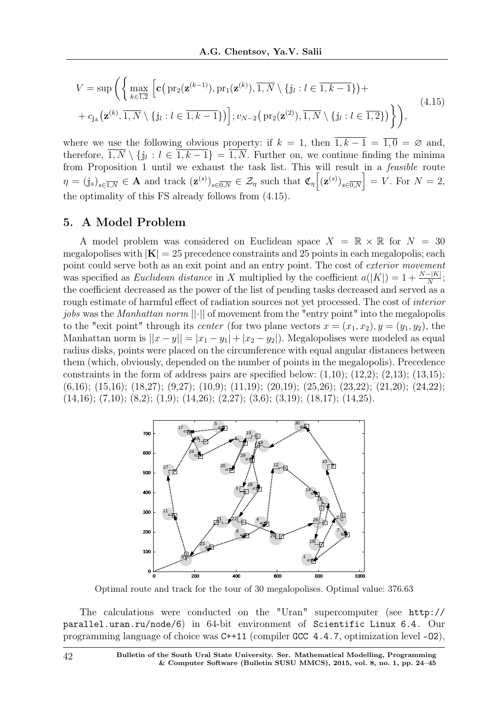$$
V = \sup \left( \left\{ \max_{k \in \overline{1,2}} \left[ \mathbf{c} \left( \operatorname{pr}_2(\mathbf{z}^{(k-1)}), \operatorname{pr}_1(\mathbf{z}^{(k)}), \overline{1, N} \setminus \{j_l : l \in \overline{1, k-1} \} \right) + \right. \right. \\ \left. + c_{j_k}(\mathbf{z}^{(k)}, \overline{1, N} \setminus \{j_l : l \in \overline{1, k-1} \}) \right]; v_{N-2}(\operatorname{pr}_2(\mathbf{z}^{(2)}), \overline{1, N} \setminus \{j_l : l \in \overline{1, 2} \}) \right\} \right), \tag{4.15}
$$

where we use the following obvious property: if  $k = 1$ , then  $\overline{1, k-1} = \overline{1, 0} = \emptyset$  and, therefore,  $1, N \setminus \{j_l : l \in 1, k-1\} = 1, N$ . Further on, we continue finding the minima from Proposition 1 until we exhaust the task list. This will result in a feasible route  $\eta = (\mathbf{j}_s)_{s \in \overline{1,N}} \in \mathbf{A}$  and track  $(\mathbf{z}^{(s)})_{s \in \overline{0,N}} \in \mathcal{Z}_\eta$  such that  $\mathfrak{C}_{\eta}[(\mathbf{z}^{(s)})_{s \in \overline{0,N}}] = V$ . For  $N = 2$ , the optimality of this FS already follows from (4.15).

### 5. A Model Problem

A model problem was considered on Euclidean space  $X = \mathbb{R} \times \mathbb{R}$  for  $N = 30$ megalopolises with  $|\mathbf{K}| = 25$  precedence constraints and 25 points in each megalopolis; each point could serve both as an exit point and an entry point. The cost of exterior movement was specified as *Euclidean distance* in X multiplied by the coefficient  $a(|K|) = 1 + \frac{N-|K|}{N}$ ; the coefficient decreased as the power of the list of pending tasks decreased and served as a rough estimate of harmful effect of radiation sources not yet processed. The cost of *interior* jobs was the *Manhattan norm*  $||\cdot||$  of movement from the "entry point" into the megalopolis to the "exit point" through its *center* (for two plane vectors  $x = (x_1, x_2), y = (y_1, y_2)$ , the Manhattan norm is  $||x - y|| = |x_1 - y_1| + |x_2 - y_2|$ . Megalopolises were modeled as equal radius disks, points were placed on the circumference with equal angular distances between them (which, obviously, depended on the number of points in the megalopolis). Precedence constraints in the form of address pairs are specified below:  $(1,10)$ ;  $(12,2)$ ;  $(2,13)$ ;  $(13,15)$ ; (6,16); (15,16); (18,27); (9,27); (10,9); (11,19); (20,19); (25,26); (23,22); (21,20); (24,22);  $(14,16)$ ;  $(7,10)$ ;  $(8,2)$ ;  $(1,9)$ ;  $(14,26)$ ;  $(2,27)$ ;  $(3,6)$ ;  $(3,19)$ ;  $(18,17)$ ;  $(14,25)$ .



Optimal route and track for the tour of 30 megalopolises. Optimal value: 376.63

The calculations were conducted on the "Uran" supercomputer (see http:// parallel.uran.ru/node/6) in 64-bit environment of Scientific Linux 6.4. Our programming language of choice was  $C++11$  (compiler GCC 4.4.7, optimization level  $-02$ ),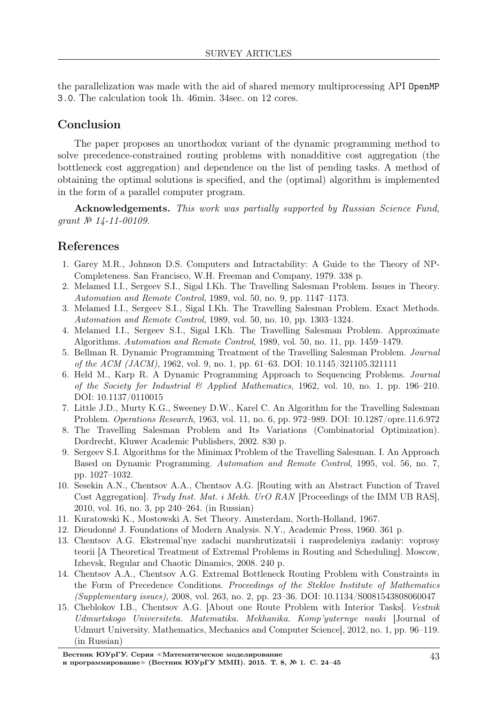the parallelization was made with the aid of shared memory multiprocessing API OpenMP 3.0. The calculation took 1h. 46min. 34sec. on 12 cores.

## Conclusion

The paper proposes an unorthodox variant of the dynamic programming method to solve precedence-constrained routing problems with nonadditive cost aggregation (the bottleneck cost aggregation) and dependence on the list of pending tasks. A method of obtaining the optimal solutions is specified, and the (optimal) algorithm is implemented in the form of a parallel computer program.

Acknowledgements. This work was partially supported by Russian Science Fund, grant № 14-11-00109.

## References

- 1. Garey M.R., Johnson D.S. Computers and Intractability: A Guide to the Theory of NP-Completeness. San Francisco, W.H. Freeman and Company, 1979. 338 p.
- 2. Melamed I.I., Sergeev S.I., Sigal I.Kh. The Travelling Salesman Problem. Issues in Theory. Automation and Remote Control, 1989, vol. 50, no. 9, pp. 1147–1173.
- 3. Melamed I.I., Sergeev S.I., Sigal I.Kh. The Travelling Salesman Problem. Exact Methods. Automation and Remote Control, 1989, vol. 50, no. 10, pp. 1303–1324.
- 4. Melamed I.I., Sergeev S.I., Sigal I.Kh. The Travelling Salesman Problem. Approximate Algorithms. Automation and Remote Control, 1989, vol. 50, no. 11, pp. 1459–1479.
- 5. Bellman R. Dynamic Programming Treatment of the Travelling Salesman Problem. Journal of the ACM (JACM), 1962, vol. 9, no. 1, pp. 61–63. DOI: 10.1145/321105.321111
- 6. Held M., Karp R. A Dynamic Programming Approach to Sequencing Problems. Journal of the Society for Industrial  $\mathcal B$  Applied Mathematics, 1962, vol. 10, no. 1, pp. 196–210. DOI: 10.1137/0110015
- 7. Little J.D., Murty K.G., Sweeney D.W., Karel C. An Algorithm for the Travelling Salesman Problem. Operations Research, 1963, vol. 11, no. 6, pp. 972–989. DOI: 10.1287/opre.11.6.972
- 8. The Travelling Salesman Problem and Its Variations (Combinatorial Optimization). Dordrecht, Kluwer Academic Publishers, 2002. 830 p.
- 9. Sergeev S.I. Algorithms for the Minimax Problem of the Travelling Salesman. I. An Approach Based on Dynamic Programming. Automation and Remote Control, 1995, vol. 56, no. 7, pp. 1027–1032.
- 10. Sesekin A.N., Chentsov A.A., Chentsov A.G. [Routing with an Abstract Function of Travel Cost Aggregation]. Trudy Inst. Mat. i Mekh. UrO RAN [Proceedings of the IMM UB RAS], 2010, vol. 16, no. 3, pp 240–264. (in Russian)
- 11. Kuratowski K., Mostowski A. Set Theory. Amsterdam, North-Holland, 1967.
- 12. Dieudonn´e J. Foundations of Modern Analysis. N.Y., Academic Press, 1960. 361 p.
- 13. Chentsov A.G. Ekstremal'nye zadachi marshrutizatsii i raspredeleniya zadaniy: voprosy teorii [A Theoretical Treatment of Extremal Problems in Routing and Scheduling]. Moscow, Izhevsk, Regular and Chaotic Dinamics, 2008. 240 p.
- 14. Chentsov A.A., Chentsov A.G. Extremal Bottleneck Routing Problem with Constraints in the Form of Precedence Conditions. Proceedings of the Steklov Institute of Mathematics (Supplementary issues), 2008, vol. 263, no. 2, pp. 23–36. DOI: 10.1134/S0081543808060047
- 15. Cheblokov I.B., Chentsov A.G. [About one Route Problem with Interior Tasks]. Vestnik Udmurtskogo Universiteta. Matematika. Mekhanika. Komp'yuternye nauki [Journal of Udmurt University. Mathematics, Mechanics and Computer Science], 2012, no. 1, pp. 96–119. (in Russian)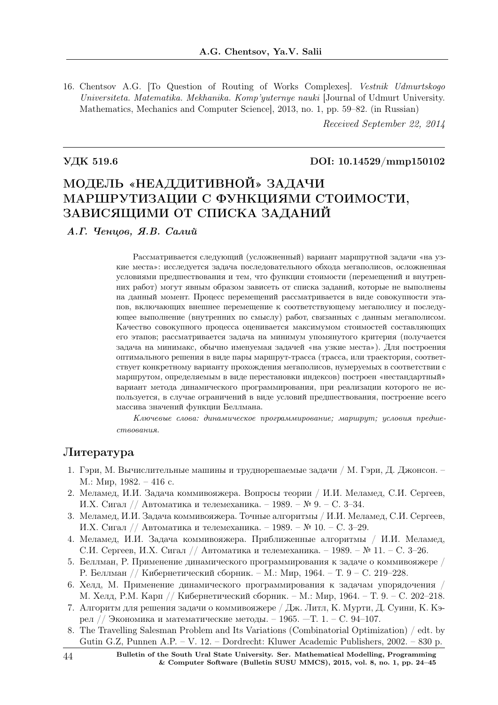16. Chentsov A.G. [To Question of Routing of Works Complexes]. Vestnik Udmurtskogo Universiteta. Matematika. Mekhanika. Komp'yuternye nauki [Journal of Udmurt University. Mathematics, Mechanics and Computer Science], 2013, no. 1, pp. 59–82. (in Russian)

Received September 22, 2014

#### УДК 519.6 DOI: 10.14529/mmp150102

# МОДЕЛЬ «НЕАДДИТИВНОЙ» ЗАДАЧИ МАРШРУТИЗАЦИИ С ФУНКЦИЯМИ СТОИМОСТИ, ЗАВИСЯЩИМИ ОТ СПИСКА ЗАДАНИЙ

А.Г. Ченцов, Я.В. Салий

Рассматривается следующий (усложненный) вариант маршрутной задачи «на узкие места»: исследуется задача последовательного обхода мегаполисов, осложненная условиями предшествования и тем, что функции стоимости (перемещений и внутренних работ) могут явным образом зависеть от списка заданий, которые не выполнены на данный момент. Процесс перемещений рассматривается в виде совокупности этапов, включающих внешнее перемещение к соответствующему мегаполису и последующее выполнение (внутренних по смыслу) работ, связанных с данным мегаполисом. Качество совокупного процесса оценивается максимумом стоимостей составляющих его этапов; рассматривается задача на минимум упомянутого критерия (получается задача на минимакс, обычно именуемая задачей «на узкие места»). Для построения оптимального решения в виде пары маршрут-трасса (трасса, или траектория, соответствует конкретному варианту прохождения мегаполисов, нумеруемых в соответствии с маршрутом, определяемым в виде перестановки индексов) построен «нестандартный» вариант метода динамического программирования, при реализации которого не используется, в случае ограничений в виде условий предшествования, построение всего массива значений функции Беллмана.

Ключевые слова: динамическое программирование; маршрут; условия предшествования.

### Литература

- 1. Гэри, М. Вычислительные машины и труднорешаемые задачи / М. Гэри, Д. Джонсон. М.: Мир, 1982. – 416 с.
- 2. Меламед, И.И. Задача коммивояжера. Вопросы теории / И.И. Меламед, С.И. Сергеев, И.Х. Сигал // Автоматика и телемеханика. – 1989. – № 9. – С. 3–34.
- 3. Меламед, И.И. Задача коммивояжера. Точные алгоритмы / И.И. Меламед, С.И. Сергеев, И.Х. Сигал // Автоматика и телемеханика. – 1989. – № 10. – С. 3–29.
- 4. Меламед, И.И. Задача коммивояжера. Приближенные алгоритмы / И.И. Меламед, С.И. Сергеев, И.Х. Сигал // Автоматика и телемеханика. – 1989. – № 11. – С. 3–26.
- 5. Беллман, Р. Применение динамического программирования к задаче о коммивояжере / Р. Беллман // Кибернетический сборник. – М.: Мир, 1964. – Т. 9 – С. 219–228.
- 6. Хелд, М. Применение динамического программирования к задачам упорядочения / М. Хелд, Р.М. Карп // Кибернетический сборник. – М.: Мир, 1964. – Т. 9. – С. 202–218.
- 7. Алгоритм для решения задачи о коммивояжере / Дж. Литл, К. Мурти, Д. Суини, К. Кэрел // Экономика и математические методы. – 1965. — Т. 1. – С. 94–107.
- 8. The Travelling Salesman Problem and Its Variations (Combinatorial Optimization) / edt. by Gutin G.Z, Punnen A.P. – V. 12. – Dordrecht: Kluwer Academic Publishers, 2002. – 830 p.